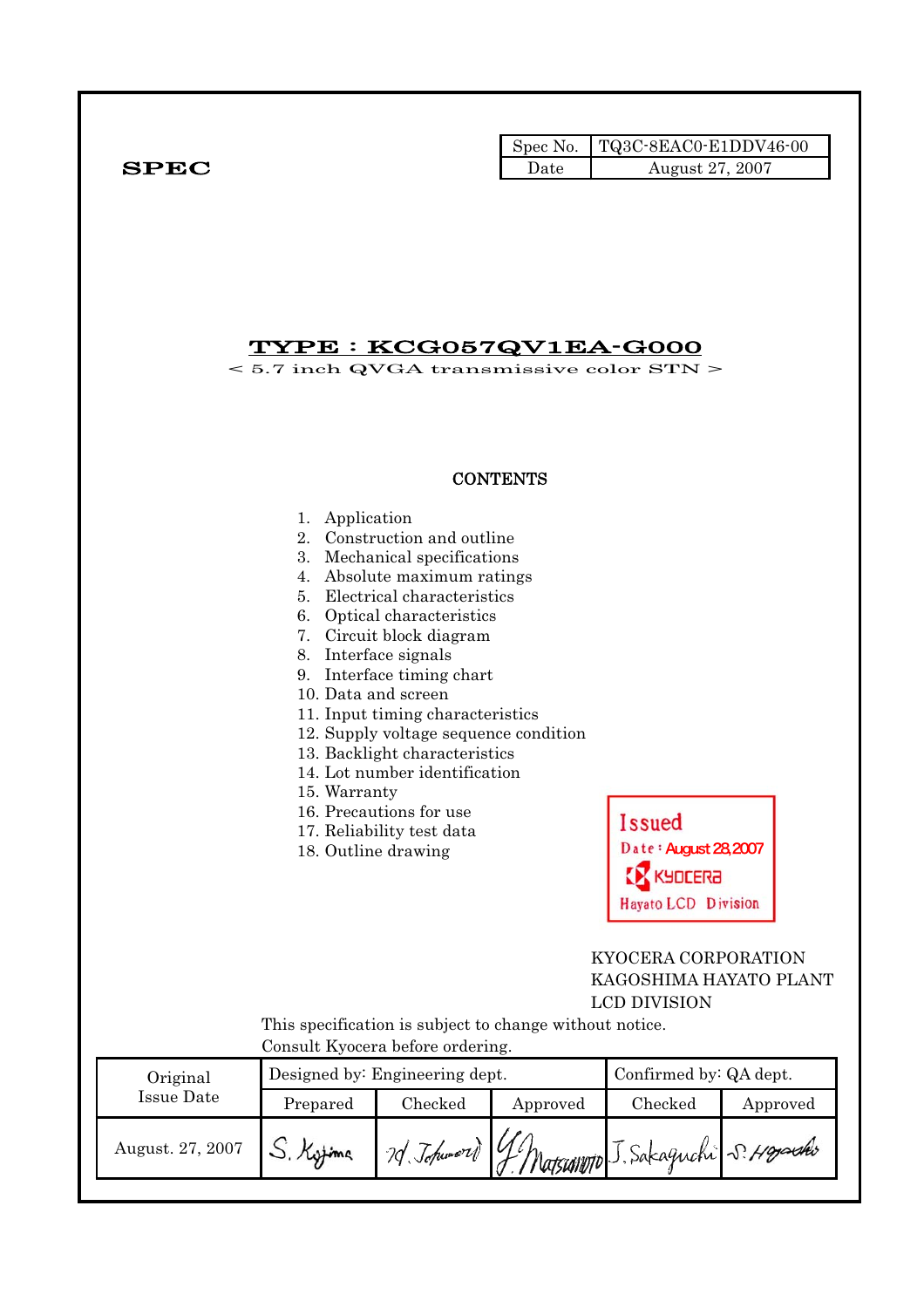|                                                                                                                          |                                |                                                                                                                                                                                                                                                                                                                                                                                                                                                                                                 | Spec No.        | TQ3C-8EAC0-E1DDV46-00                                                   |          |  |  |
|--------------------------------------------------------------------------------------------------------------------------|--------------------------------|-------------------------------------------------------------------------------------------------------------------------------------------------------------------------------------------------------------------------------------------------------------------------------------------------------------------------------------------------------------------------------------------------------------------------------------------------------------------------------------------------|-----------------|-------------------------------------------------------------------------|----------|--|--|
| <b>SPEC</b>                                                                                                              |                                |                                                                                                                                                                                                                                                                                                                                                                                                                                                                                                 | Date            | August 27, 2007                                                         |          |  |  |
|                                                                                                                          |                                | <u>TYPE : KCG057QV1EA-G000</u>                                                                                                                                                                                                                                                                                                                                                                                                                                                                  |                 | $< 5.7$ inch QVGA transmissive color STN $>$                            |          |  |  |
|                                                                                                                          |                                |                                                                                                                                                                                                                                                                                                                                                                                                                                                                                                 | <b>CONTENTS</b> |                                                                         |          |  |  |
|                                                                                                                          | 1. Application<br>15. Warranty | 2. Construction and outline<br>3. Mechanical specifications<br>4. Absolute maximum ratings<br>5. Electrical characteristics<br>6. Optical characteristics<br>7. Circuit block diagram<br>8. Interface signals<br>9. Interface timing chart<br>10. Data and screen<br>11. Input timing characteristics<br>12. Supply voltage sequence condition<br>13. Backlight characteristics<br>14. Lot number identification<br>16. Precautions for use<br>17. Reliability test data<br>18. Outline drawing |                 | <b>Issued</b><br>Date: August 28,2007<br>KYDCERA<br>Hayato LCD Division |          |  |  |
| KYOCERA CORPORATION<br>KAGOSHIMA HAYATO PLANT<br>LCD DIVISION<br>This specification is subject to change without notice. |                                |                                                                                                                                                                                                                                                                                                                                                                                                                                                                                                 |                 |                                                                         |          |  |  |
|                                                                                                                          |                                | Consult Kyocera before ordering.                                                                                                                                                                                                                                                                                                                                                                                                                                                                |                 |                                                                         |          |  |  |
| Original<br><b>Issue Date</b>                                                                                            |                                | Designed by: Engineering dept.<br>Checked                                                                                                                                                                                                                                                                                                                                                                                                                                                       |                 | Confirmed by: QA dept.<br>Checked                                       |          |  |  |
| August. 27, 2007                                                                                                         | Prepared                       |                                                                                                                                                                                                                                                                                                                                                                                                                                                                                                 | Approved        | 20 Johnnord G. Matsummo J. Sakaguchi S. Hoyardo                         | Approved |  |  |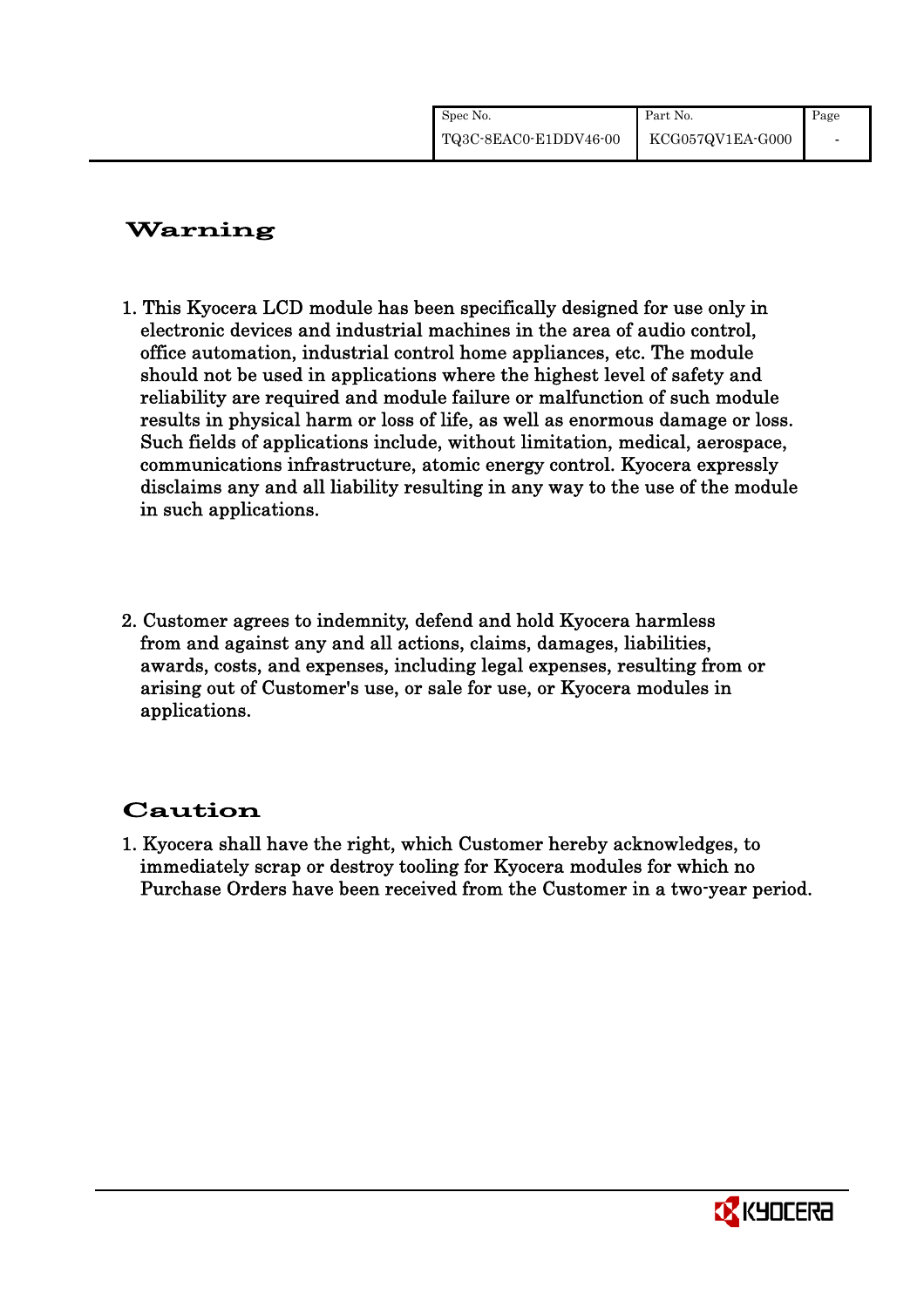| Spec No.              | Part No.         | Page |
|-----------------------|------------------|------|
| TQ3C-8EAC0-E1DDV46-00 | KCG057QV1EA-G000 |      |

# Warning

- 1. This Kyocera LCD module has been specifically designed for use only in electronic devices and industrial machines in the area of audio control, office automation, industrial control home appliances, etc. The module should not be used in applications where the highest level of safety and reliability are required and module failure or malfunction of such module results in physical harm or loss of life, as well as enormous damage or loss. Such fields of applications include, without limitation, medical, aerospace, communications infrastructure, atomic energy control. Kyocera expressly disclaims any and all liability resulting in any way to the use of the module in such applications.
- 2. Customer agrees to indemnity, defend and hold Kyocera harmless from and against any and all actions, claims, damages, liabilities, awards, costs, and expenses, including legal expenses, resulting from or arising out of Customer's use, or sale for use, or Kyocera modules in applications.

# Caution

1. Kyocera shall have the right, which Customer hereby acknowledges, to immediately scrap or destroy tooling for Kyocera modules for which no Purchase Orders have been received from the Customer in a two-year period.

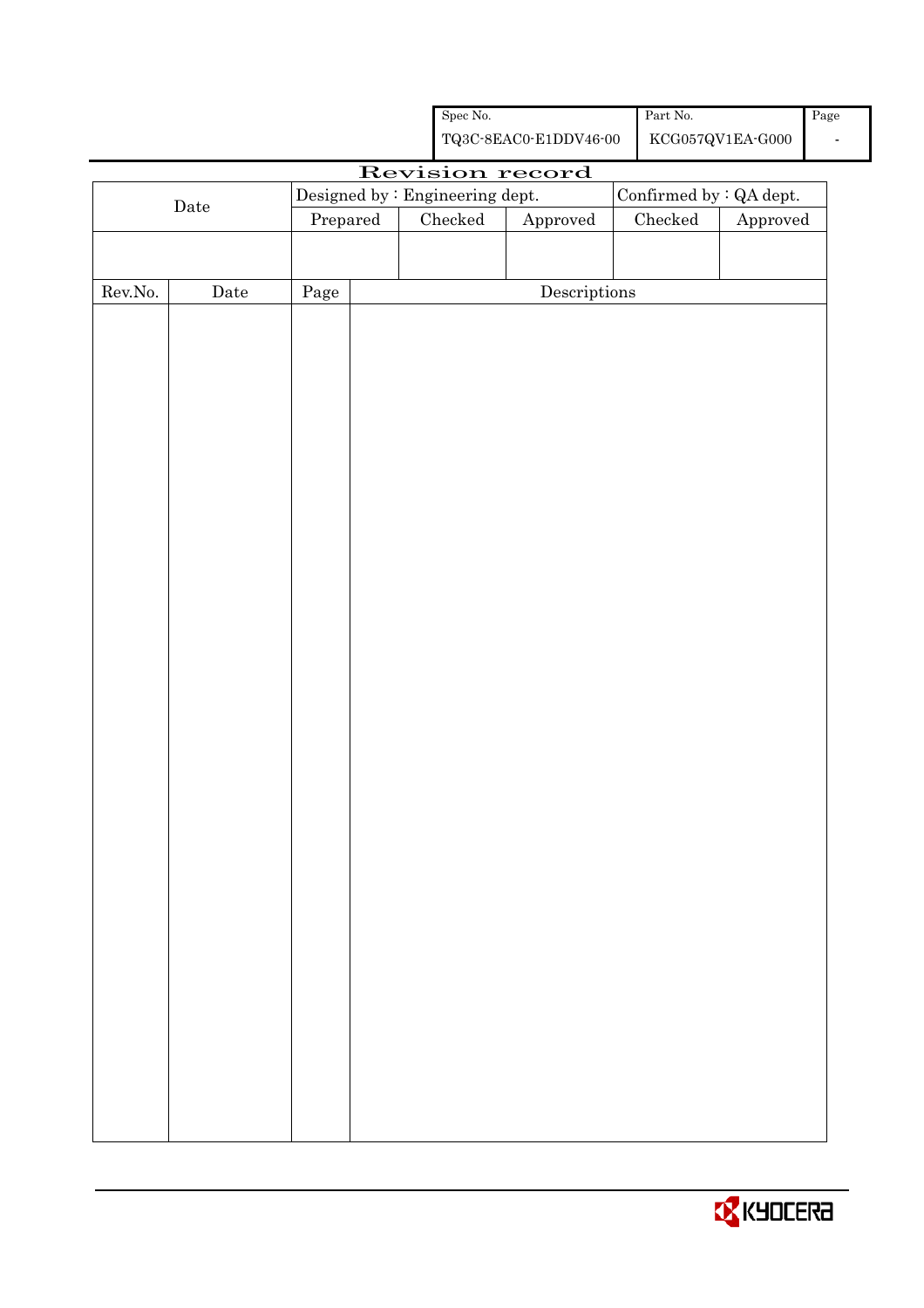|                                                                               |                      |          |  | Spec No. |                                                    |  | Part No.      |                                 | Page |
|-------------------------------------------------------------------------------|----------------------|----------|--|----------|----------------------------------------------------|--|---------------|---------------------------------|------|
|                                                                               |                      |          |  |          | ${\bf TQ3C\text{-}8EAC0\text{-}E1DDV46\text{-}00}$ |  |               | ${\rm KCG057QV1EA\mbox{-}G000}$ |      |
| Revision record<br>Confirmed by : QA dept.<br>Designed by : Engineering dept. |                      |          |  |          |                                                    |  |               |                                 |      |
|                                                                               | $\rm{Date}$          |          |  |          |                                                    |  |               |                                 |      |
|                                                                               |                      | Prepared |  | Checked  | Approved                                           |  | $\rm Checked$ | ${\Large\bf Approved}$          |      |
|                                                                               |                      |          |  |          |                                                    |  |               |                                 |      |
| ${\rm Rev. No.}$                                                              | $\rm{\textbf{Date}}$ | Page     |  |          | $\label{eq:2} \textbf{Descriptions}$               |  |               |                                 |      |
|                                                                               |                      |          |  |          |                                                    |  |               |                                 |      |
|                                                                               |                      |          |  |          |                                                    |  |               |                                 |      |
|                                                                               |                      |          |  |          |                                                    |  |               |                                 |      |
|                                                                               |                      |          |  |          |                                                    |  |               |                                 |      |
|                                                                               |                      |          |  |          |                                                    |  |               |                                 |      |
|                                                                               |                      |          |  |          |                                                    |  |               |                                 |      |
|                                                                               |                      |          |  |          |                                                    |  |               |                                 |      |
|                                                                               |                      |          |  |          |                                                    |  |               |                                 |      |
|                                                                               |                      |          |  |          |                                                    |  |               |                                 |      |
|                                                                               |                      |          |  |          |                                                    |  |               |                                 |      |
|                                                                               |                      |          |  |          |                                                    |  |               |                                 |      |
|                                                                               |                      |          |  |          |                                                    |  |               |                                 |      |
|                                                                               |                      |          |  |          |                                                    |  |               |                                 |      |
|                                                                               |                      |          |  |          |                                                    |  |               |                                 |      |
|                                                                               |                      |          |  |          |                                                    |  |               |                                 |      |
|                                                                               |                      |          |  |          |                                                    |  |               |                                 |      |
|                                                                               |                      |          |  |          |                                                    |  |               |                                 |      |
|                                                                               |                      |          |  |          |                                                    |  |               |                                 |      |
|                                                                               |                      |          |  |          |                                                    |  |               |                                 |      |
|                                                                               |                      |          |  |          |                                                    |  |               |                                 |      |
|                                                                               |                      |          |  |          |                                                    |  |               |                                 |      |
|                                                                               |                      |          |  |          |                                                    |  |               |                                 |      |
|                                                                               |                      |          |  |          |                                                    |  |               |                                 |      |
|                                                                               |                      |          |  |          |                                                    |  |               |                                 |      |
|                                                                               |                      |          |  |          |                                                    |  |               |                                 |      |
|                                                                               |                      |          |  |          |                                                    |  |               |                                 |      |
|                                                                               |                      |          |  |          |                                                    |  |               |                                 |      |
|                                                                               |                      |          |  |          |                                                    |  |               |                                 |      |
|                                                                               |                      |          |  |          |                                                    |  |               |                                 |      |
|                                                                               |                      |          |  |          |                                                    |  |               |                                 |      |
|                                                                               |                      |          |  |          |                                                    |  |               |                                 |      |
|                                                                               |                      |          |  |          |                                                    |  |               |                                 |      |

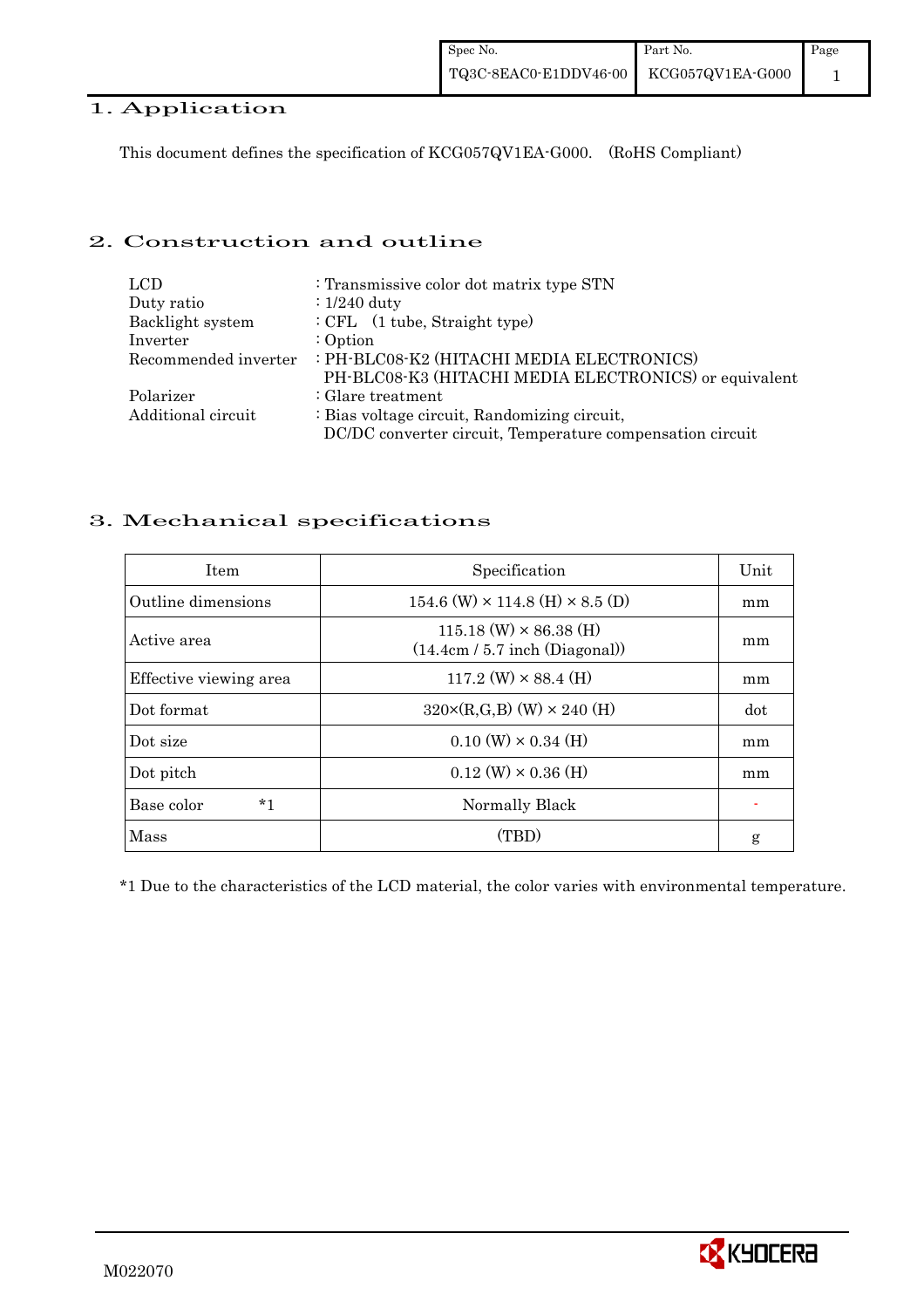# 1. Application

This document defines the specification of KCG057QV1EA-G000. (RoHS Compliant)

## 2. Construction and outline

| <b>LCD</b>           | : Transmissive color dot matrix type STN                  |
|----------------------|-----------------------------------------------------------|
| Duty ratio           | $: 1/240$ duty                                            |
| Backlight system     | $\div$ CFL $(1 \text{ tube},$ Straight type)              |
| Inverter             | $:$ Option                                                |
| Recommended inverter | : PH-BLC08-K2 (HITACHI MEDIA ELECTRONICS)                 |
|                      | PH-BLC08-K3 (HITACHI MEDIA ELECTRONICS) or equivalent     |
| Polarizer            | $\therefore$ Glare treatment                              |
| Additional circuit   | : Bias voltage circuit, Randomizing circuit,              |
|                      | DC/DC converter circuit, Temperature compensation circuit |

## 3. Mechanical specifications

| <b>Item</b>            | Specification                                                     | Unit |
|------------------------|-------------------------------------------------------------------|------|
| Outline dimensions     | $154.6$ (W) $\times$ 114.8 (H) $\times$ 8.5 (D)                   | mm   |
| Active area            | $115.18$ (W) $\times$ 86.38 (H)<br>(14.4cm / 5.7 inch (Diagonal)) | mm   |
| Effective viewing area | $117.2$ (W) $\times$ 88.4 (H)                                     | mm   |
| Dot format             | $320 \times (R,G,B)$ (W) $\times 240$ (H)                         | dot  |
| Dot size               | $0.10$ (W) $\times$ 0.34 (H)                                      | mm   |
| Dot pitch              | $0.12$ (W) $\times$ 0.36 (H)                                      | mm   |
| $*_{1}$<br>Base color  | Normally Black                                                    |      |
| Mass                   | (TBD)                                                             | g    |

\*1 Due to the characteristics of the LCD material, the color varies with environmental temperature.

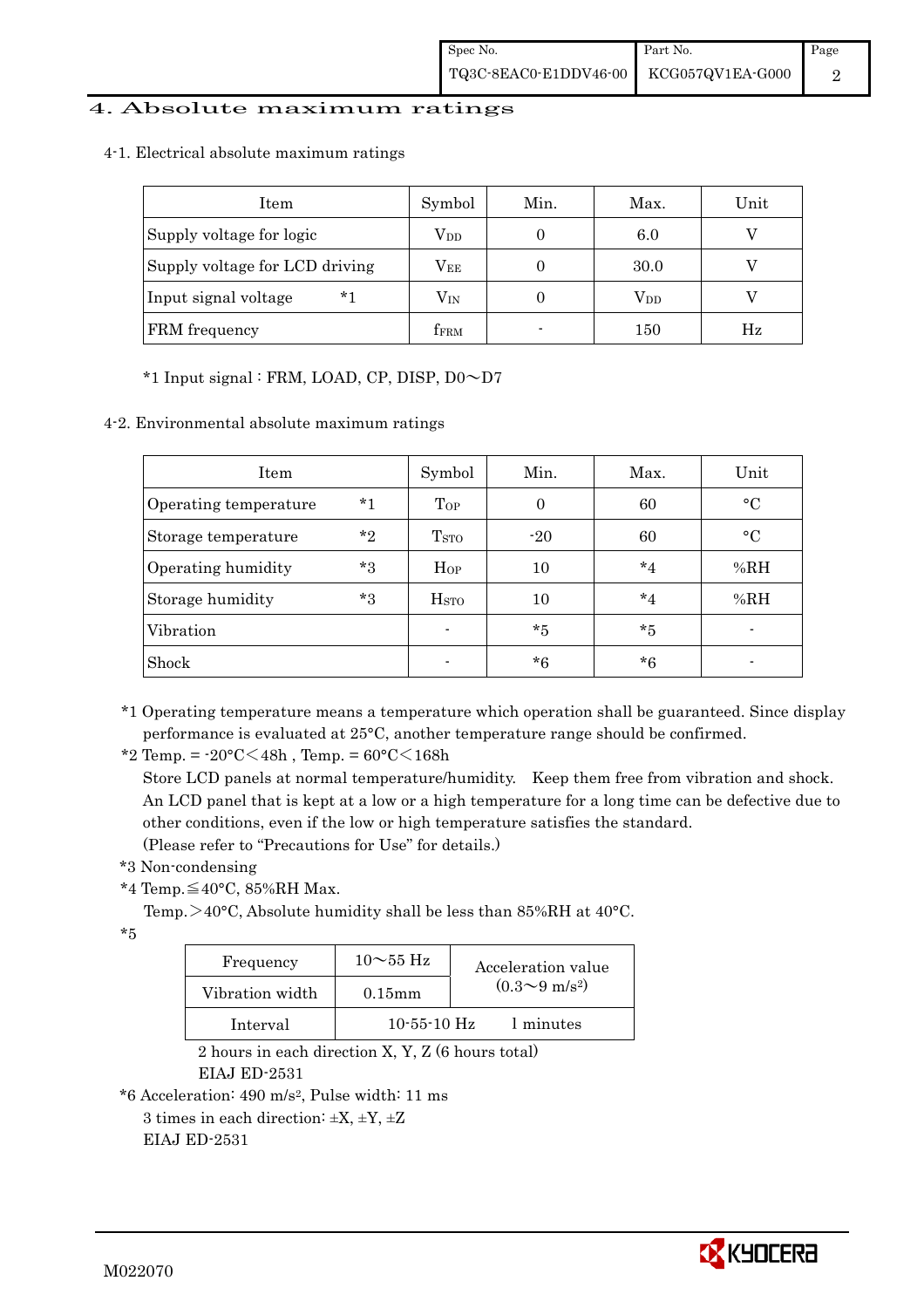## 4. Absolute maximum ratings

4-1. Electrical absolute maximum ratings

| Item                           | Symbol       | Min.           | Max.         | Unit |
|--------------------------------|--------------|----------------|--------------|------|
| Supply voltage for logic       | $V_{DD}$     |                | 6.0          |      |
| Supply voltage for LCD driving | Vee          |                | 30.0         |      |
| $*1$<br>Input signal voltage   | $\rm V_{IN}$ |                | $\rm V_{DD}$ |      |
| FRM frequency                  | <b>TFRM</b>  | $\blacksquare$ | 150          | Hz   |

## \*1 Input signal : FRM, LOAD, CP, DISP, D0~D7

4-2. Environmental absolute maximum ratings

| Item                  |         | Symbol                  | Min.     | Max.    | Unit            |
|-----------------------|---------|-------------------------|----------|---------|-----------------|
| Operating temperature | $*1$    | Top                     | $\Omega$ | 60      | $\rm ^{\circ}C$ |
| Storage temperature   | $*_{2}$ | T <sub>STO</sub>        | $-20$    | 60      | $\circ$ C       |
| Operating humidity    | $*3$    | $H_{OP}$                | 10       | $*_{4}$ | %RH             |
| Storage humidity      | $*3$    | <b>H</b> <sub>STO</sub> | 10       | $*_{4}$ | %RH             |
| Vibration             |         |                         | $*5$     | $*_{5}$ |                 |
| Shock                 |         |                         | $*6$     | $*6$    |                 |

\*1 Operating temperature means a temperature which operation shall be guaranteed. Since display performance is evaluated at 25°C, another temperature range should be confirmed.

\*2 Temp. =  $-20^{\circ}$ C $<$ 48h, Temp. =  $60^{\circ}$ C $<$ 168h

 Store LCD panels at normal temperature/humidity. Keep them free from vibration and shock. An LCD panel that is kept at a low or a high temperature for a long time can be defective due to other conditions, even if the low or high temperature satisfies the standard.

(Please refer to "Precautions for Use" for details.)

- \*3 Non-condensing
- \*4 Temp.≦40°C, 85%RH Max.

Temp. >40°C, Absolute humidity shall be less than 85%RH at 40°C.

\*5

| Frequency       | $10\sim$ 55 Hz | Acceleration value           |
|-----------------|----------------|------------------------------|
| Vibration width | $0.15$ mm      | $(0.3 \sim 9 \text{ m/s}^2)$ |
| Interval        | $10-55-10$ Hz  | 1 minutes                    |

 2 hours in each direction X, Y, Z (6 hours total) EIAJ ED-2531

\*6 Acceleration: 490 m/s2, Pulse width: 11 ms

3 times in each direction:  $\pm X$ ,  $\pm Y$ ,  $\pm Z$ EIAJ ED-2531

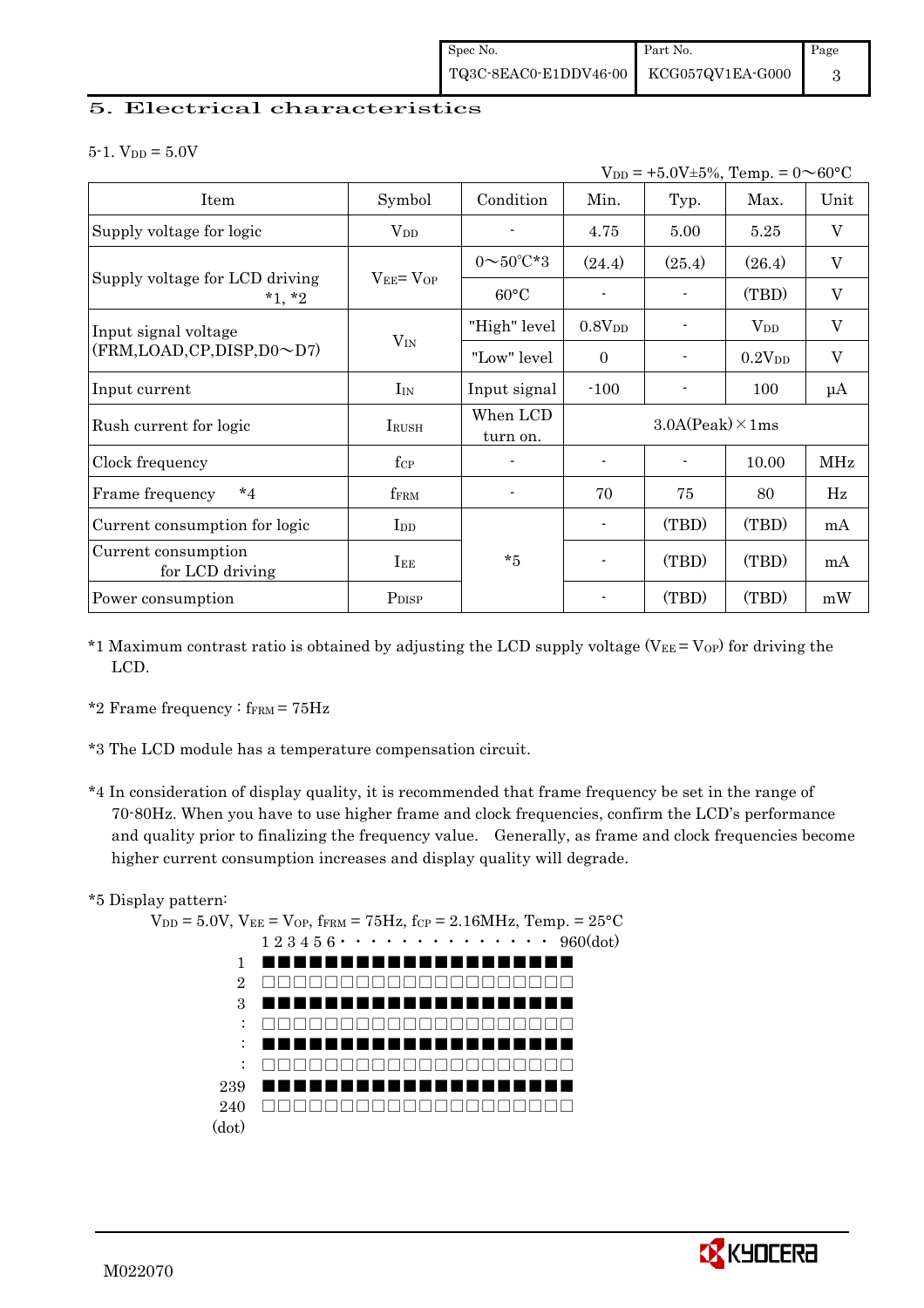## 5. Electrical characteristics

 $5-1.$  V<sub>DD</sub> =  $5.0V$ 

| $V_{DD}$ = +5.0V±5%, Temp. = 0 $\sim$ 60°C |                   |                         |                          |        |              |             |  |
|--------------------------------------------|-------------------|-------------------------|--------------------------|--------|--------------|-------------|--|
| Item                                       | Symbol            | Condition               | Min.                     | Typ.   | Max.         | Unit        |  |
| Supply voltage for logic                   | $V_{DD}$          |                         | 4.75                     | 5.00   | 5.25         | $\mathbf V$ |  |
|                                            |                   | $0 \sim 50^{\circ}$ C*3 | (24.4)                   | (25.4) | (26.4)       | $\mathbf V$ |  |
| Supply voltage for LCD driving<br>$*1, *2$ | $V_{EE} = V_{OP}$ | $60^{\circ}$ C          |                          |        | (TBD)        | $\mathbf V$ |  |
| Input signal voltage                       |                   | "High" level            | 0.8V <sub>DD</sub>       |        | $\rm V_{DD}$ | V           |  |
| (FRM,LOAD,CP,DISP,D0~D7)                   | $V_{IN}$          | "Low" level             | $\theta$                 |        | $0.2V_{DD}$  | $\mathbf V$ |  |
| Input current                              | $I_{IN}$          | Input signal            | $-100$                   |        | 100          | $\mu A$     |  |
| Rush current for logic                     | <b>IRUSH</b>      | When LCD<br>turn on.    | $3.0A(Peak) \times 1ms$  |        |              |             |  |
| Clock frequency                            | $f_{\rm CP}$      |                         |                          |        | 10.00        | MHz         |  |
| $*_{4}$<br>Frame frequency                 | fFRM              | $\blacksquare$          | 70                       | 75     | 80           | Hz          |  |
| Current consumption for logic              | $_{\rm{LDD}}$     |                         | $\overline{\phantom{a}}$ | (TBD)  | (TBD)        | mA          |  |
| Current consumption<br>for LCD driving     | $I_{EE}$          | $*5$                    | $\blacksquare$           | (TBD)  | (TBD)        | mA          |  |
| Power consumption                          | P <sub>DISP</sub> |                         |                          | (TBD)  | (TBD)        | mW          |  |

- \*1 Maximum contrast ratio is obtained by adjusting the LCD supply voltage (V $_{EE}$  = V<sub>OP</sub>) for driving the LCD.
- \*2 Frame frequency :  $f_{\text{FRM}} = 75 \text{Hz}$
- \*3 The LCD module has a temperature compensation circuit.
- \*4 In consideration of display quality, it is recommended that frame frequency be set in the range of 70-80Hz. When you have to use higher frame and clock frequencies, confirm the LCD's performance and quality prior to finalizing the frequency value. Generally, as frame and clock frequencies become higher current consumption increases and display quality will degrade.
- \*5 Display pattern:



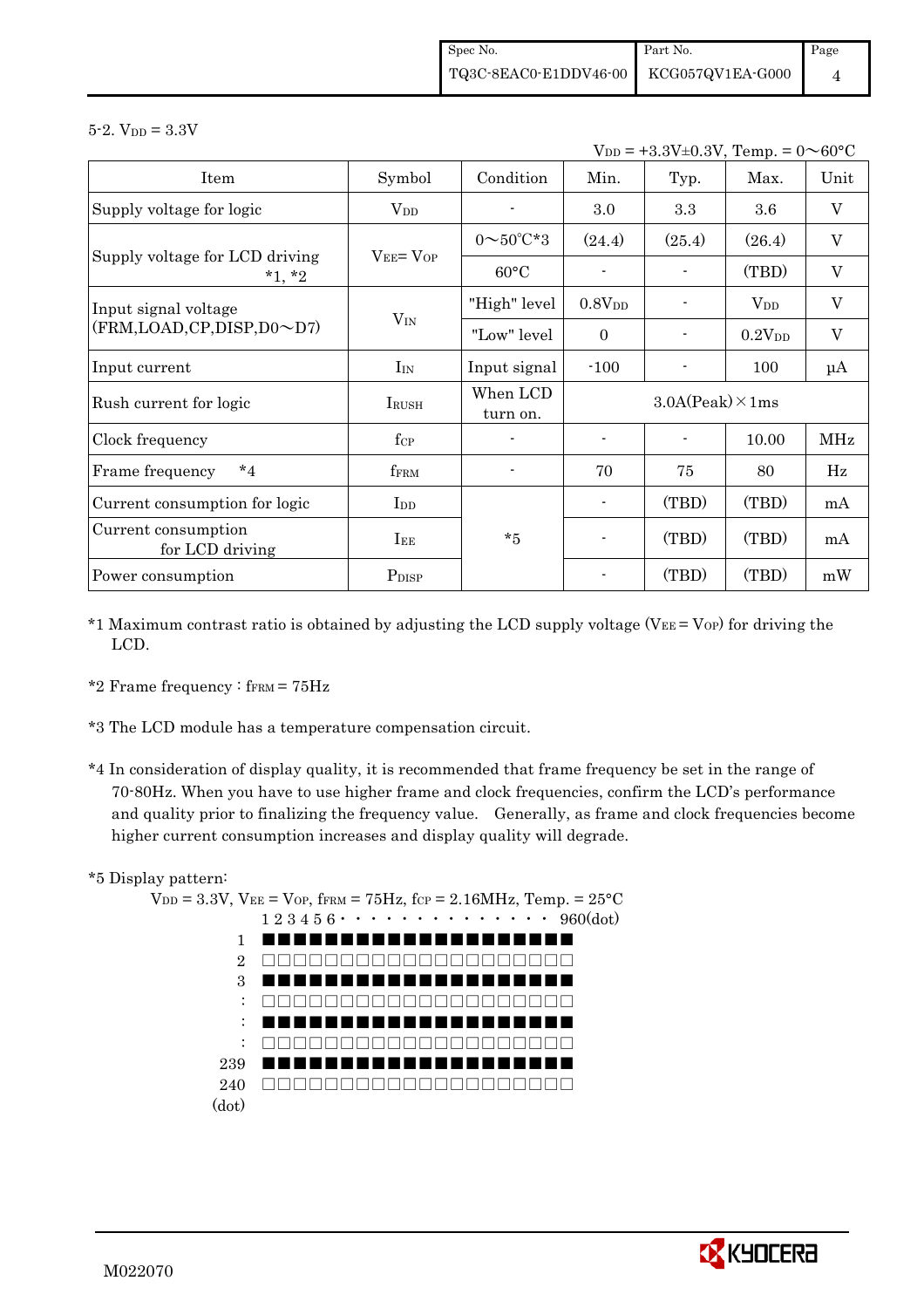$5 - 2.$  V<sub>DD</sub> =  $3.3V$ 

 $V_{DD} = +3.3V \pm 0.3V$ , Temp. =  $0 \sim 60^{\circ}$ C

|                                            |                   |                         | ע י                     |        |                    |                           |
|--------------------------------------------|-------------------|-------------------------|-------------------------|--------|--------------------|---------------------------|
| Item                                       | Symbol            | Condition               | Min.                    | Typ.   | Max.               | Unit                      |
| Supply voltage for logic                   | $V_{DD}$          |                         | $3.0\,$                 | 3.3    | 3.6                | $\mathbf V$               |
|                                            |                   | $0 \sim 50^{\circ}$ C*3 | (24.4)                  | (25.4) | (26.4)             | V                         |
| Supply voltage for LCD driving<br>$*1, *2$ | $V_{EE} = V_{OP}$ | $60^{\circ}$ C          |                         |        | (TBD)              | $\mathbf V$               |
| Input signal voltage                       |                   | "High" level            | $0.8{\rm V_{DD}}$       |        | $V_{DD}$           | $\mathbf V$               |
| $(FRM, LOAD, CP, DISP, D0 \sim D7)$        | $V_{IN}$          | "Low" level             | $\mathbf{0}$            |        | 0.2V <sub>DD</sub> | $\boldsymbol{\mathrm{V}}$ |
| Input current                              | $I_{IN}$          | Input signal            | $-100$                  |        | 100                | $\mu A$                   |
| Rush current for logic                     | <b>IRUSH</b>      | When LCD<br>turn on.    | $3.0A(Peak) \times 1ms$ |        |                    |                           |
| Clock frequency                            | $f_{\rm CP}$      |                         |                         |        | 10.00              | MHz                       |
| $*_{4}$<br>Frame frequency                 | f <sub>FRM</sub>  |                         | 70                      | 75     | 80                 | Hz                        |
| Current consumption for logic              | $_{\rm{LDD}}$     |                         |                         | (TBD)  | (TBD)              | mA                        |
| Current consumption<br>for LCD driving     | $I_{EE}$          | $*5$                    | $\blacksquare$          | (TBD)  | (TBD)              | mA                        |
| Power consumption                          | P <sub>DISP</sub> |                         |                         | (TBD)  | (TBD)              | mW                        |

- \*1 Maximum contrast ratio is obtained by adjusting the LCD supply voltage ( $V_{EE} = V_{OP}$ ) for driving the LCD.
- \*2 Frame frequency :  $f_{\text{FRM}} = 75 \text{Hz}$
- \*3 The LCD module has a temperature compensation circuit.
- \*4 In consideration of display quality, it is recommended that frame frequency be set in the range of 70-80Hz. When you have to use higher frame and clock frequencies, confirm the LCD's performance and quality prior to finalizing the frequency value. Generally, as frame and clock frequencies become higher current consumption increases and display quality will degrade.

## \*5 Display pattern:



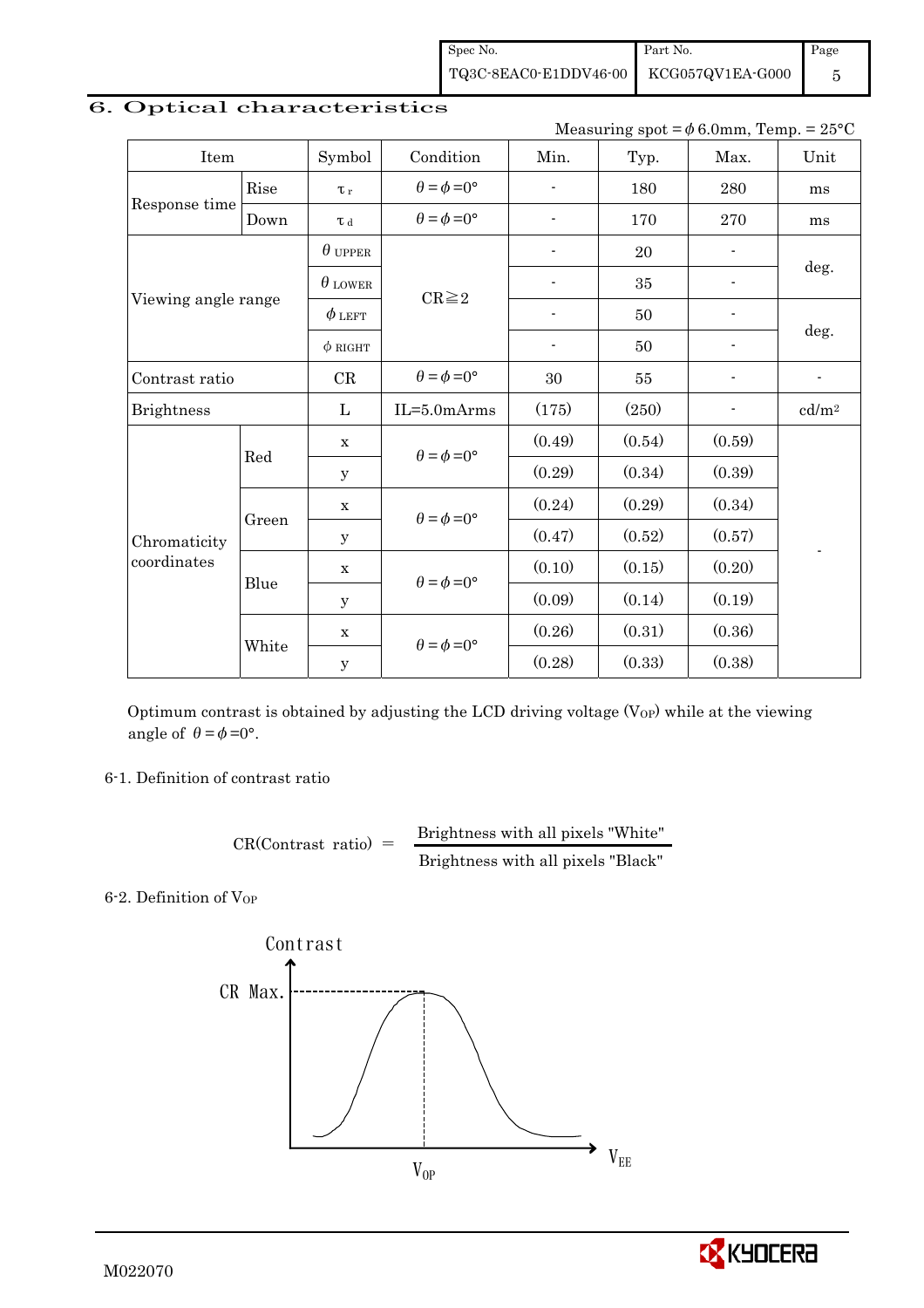Spec No. TQ3C-8EAC0-E1DDV46-00 Part No. KCG057QV1EA-G000 Page 5

| Measuring spot = $\phi$ 6.0mm, Temp. = 25°C |                                     |                |                             |                |            |                          |                          |  |
|---------------------------------------------|-------------------------------------|----------------|-----------------------------|----------------|------------|--------------------------|--------------------------|--|
| Item                                        | Symbol<br>Condition<br>Min.<br>Typ. |                |                             |                |            | Max.                     | Unit                     |  |
|                                             | Rise                                | $\tau_r$       | $\theta = \phi = 0^{\circ}$ | $\overline{a}$ | 180        | 280                      | ms                       |  |
| Response time                               | Down                                | T d            | $\theta = \phi = 0^{\circ}$ |                | 170        | 270                      | ms                       |  |
|                                             |                                     | $\theta$ upper |                             |                | 20         | $\overline{\phantom{0}}$ |                          |  |
|                                             |                                     | $\theta$ lower |                             |                | 35         | $\overline{\phantom{a}}$ | deg.                     |  |
| Viewing angle range                         |                                     | $\phi$ left    | $CR \geq 2$                 | $\overline{a}$ | 50         | $\blacksquare$           | deg.                     |  |
|                                             |                                     | $\phi$ RIGHT   |                             | -              | 50         | $\blacksquare$           |                          |  |
| Contrast ratio                              |                                     |                | $\theta = \phi = 0^{\circ}$ | 30             | ${\bf 55}$ | $\overline{\phantom{a}}$ | $\overline{\phantom{a}}$ |  |
| <b>Brightness</b>                           |                                     | $\mathbf{L}$   | $IL = 5.0 mArms$            | (175)          | (250)      | $\overline{\phantom{a}}$ | cd/m <sup>2</sup>        |  |
|                                             | Red                                 | $\mathbf x$    | $\theta = \phi = 0^{\circ}$ | (0.49)         | (0.54)     | (0.59)                   |                          |  |
|                                             |                                     | У              |                             | (0.29)         | (0.34)     | (0.39)                   |                          |  |
|                                             |                                     | $\mathbf X$    | $\theta = \phi = 0^{\circ}$ | (0.24)         | (0.29)     | (0.34)                   |                          |  |
| Chromaticity                                | Green                               | y              |                             | (0.47)         | (0.52)     | (0.57)                   |                          |  |
| coordinates                                 | Blue                                | $\mathbf X$    | $\theta = \phi = 0^{\circ}$ | (0.10)         | (0.15)     | (0.20)                   |                          |  |
|                                             |                                     | У              |                             | (0.09)         | (0.14)     | (0.19)                   |                          |  |
|                                             |                                     | $\mathbf x$    | $\theta = \phi = 0^{\circ}$ | (0.26)         | (0.31)     | (0.36)                   |                          |  |
|                                             | White                               | $\mathbf y$    |                             | (0.28)         | (0.33)     | (0.38)                   |                          |  |

# 6. Optical characteristics

Optimum contrast is obtained by adjusting the LCD driving voltage  $(V_{OP})$  while at the viewing angle of  $\theta = \phi = 0^{\circ}$ .

6-1. Definition of contrast ratio

 $CR(Contrast ratio) =$  Brightness with all pixels "White" Brightness with all pixels "Black"

6-2. Definition of VOP



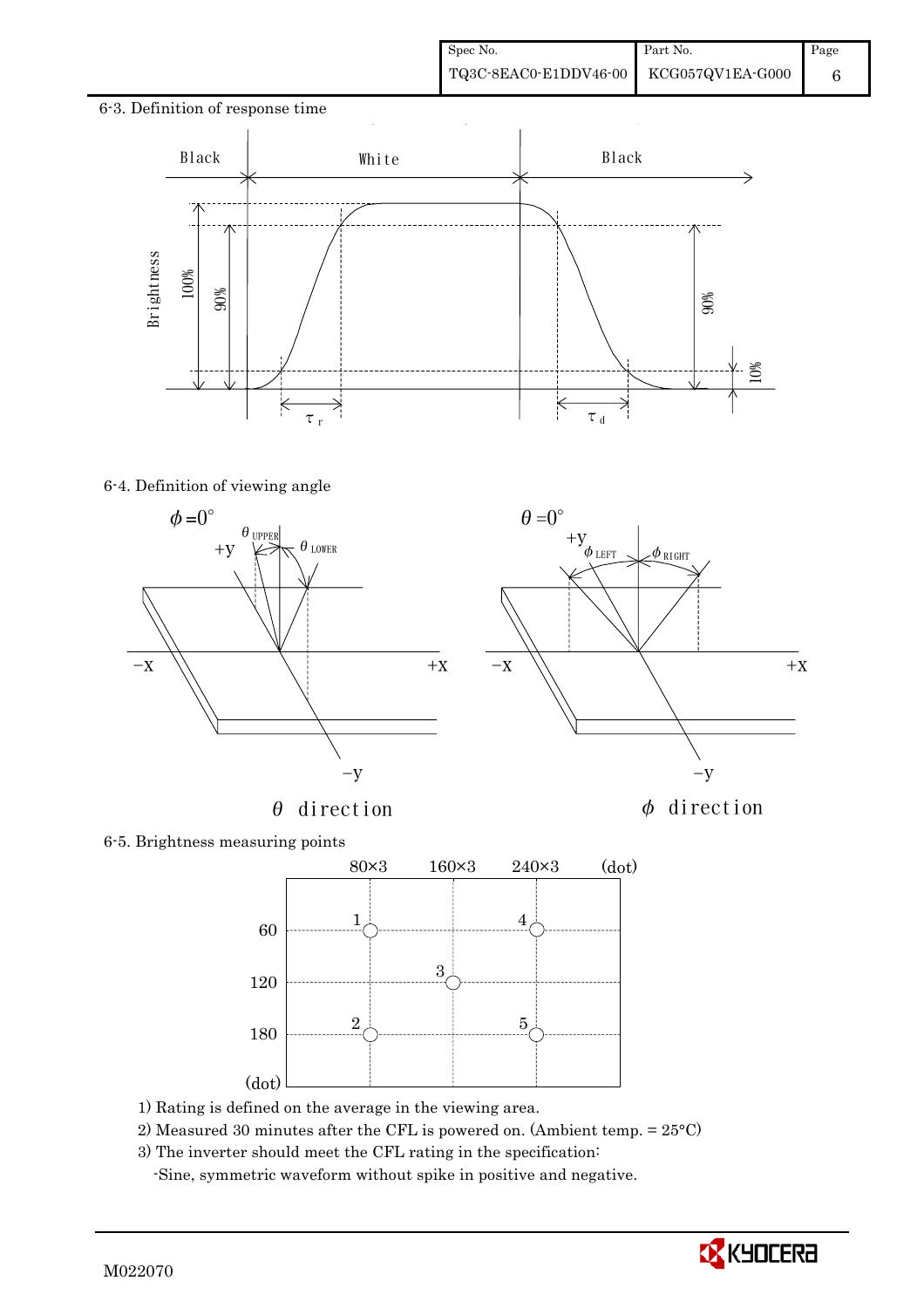# 6-3. Definition of response time  $\ddot{\phantom{a}}$ Black | White Black 90% 10%  $\frac{1}{\tau}$ <sub>r</sub>  $\tau$ <sub>d</sub>

## 6-4. Definition of viewing angle



 $\theta$  direction  $\phi$  direction



6-5. Brightness measuring points



- 1) Rating is defined on the average in the viewing area.
- 2) Measured 30 minutes after the CFL is powered on. (Ambient temp. = 25°C)
- 3) The inverter should meet the CFL rating in the specification:

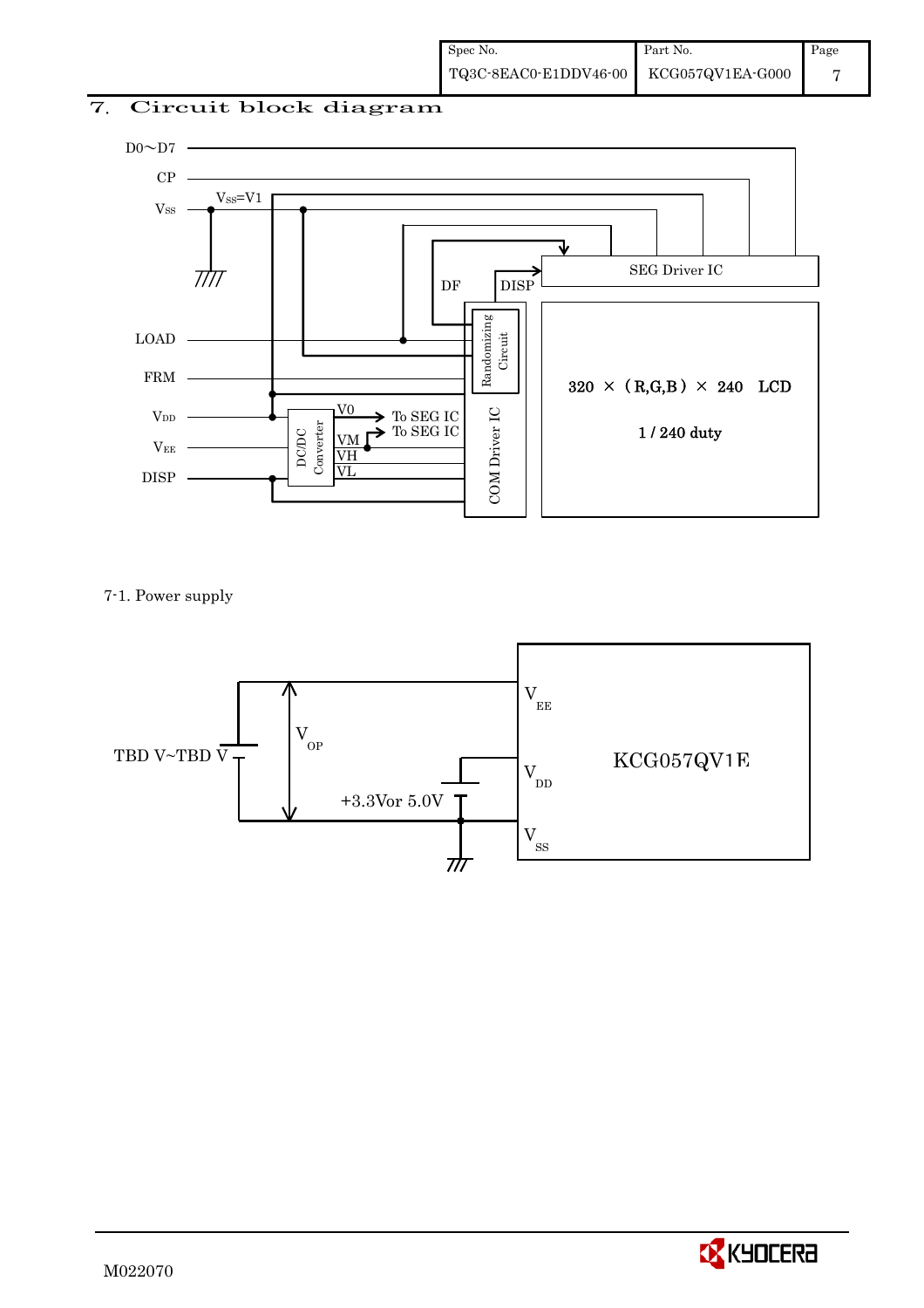## 7. Circuit block diagram



7-1. Power supply



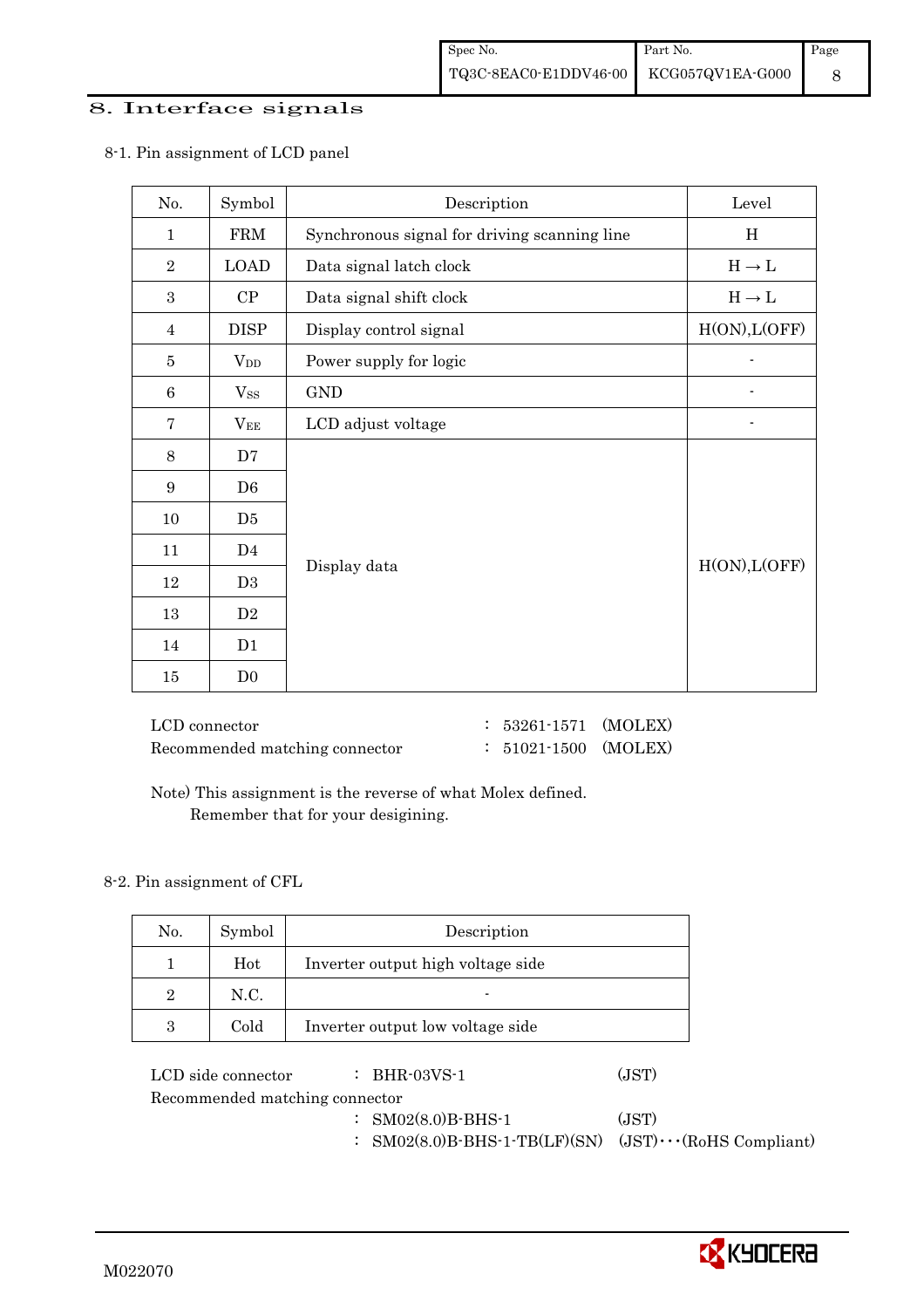## 8. Interface signals

| No.              | Symbol         | Description                                  | Level                             |
|------------------|----------------|----------------------------------------------|-----------------------------------|
| $\mathbf 1$      | <b>FRM</b>     | Synchronous signal for driving scanning line | H                                 |
| $\overline{2}$   | <b>LOAD</b>    | Data signal latch clock                      | $\mathrm{H}\rightarrow\mathrm{L}$ |
| $\boldsymbol{3}$ | CP             | Data signal shift clock                      | $H\to L$                          |
| $\overline{4}$   | <b>DISP</b>    | Display control signal                       | H(ON), L(OFF)                     |
| 5                | $V_{DD}$       | Power supply for logic                       |                                   |
| 6                | $V_{SS}$       | <b>GND</b>                                   |                                   |
| 7                | $V_{EE}$       | LCD adjust voltage                           |                                   |
| $8\,$            | D7             |                                              |                                   |
| 9                | D <sub>6</sub> |                                              |                                   |
| 10               | D <sub>5</sub> |                                              |                                   |
| 11               | D <sub>4</sub> |                                              |                                   |
| 12               | D <sub>3</sub> | Display data                                 | H(ON), L(OFF)                     |
| $13\,$           | $\mathbf{D}2$  |                                              |                                   |
| 14               | D1             |                                              |                                   |
| 15               | D <sub>0</sub> |                                              |                                   |

8-1. Pin assignment of LCD panel

 LCD connector : 53261-1571 (MOLEX) Recommended matching connector : 51021-1500 (MOLEX)

 Note) This assignment is the reverse of what Molex defined. Remember that for your desigining.

### 8-2. Pin assignment of CFL

| No. | Symbol | Description                       |
|-----|--------|-----------------------------------|
|     | Hot    | Inverter output high voltage side |
| 2   | N.C.   | $\blacksquare$                    |
|     | Cold   | Inverter output low voltage side  |

LCD side connector : BHR-03VS-1 (JST) Recommended matching connector : SM02(8.0)B-BHS-1 (JST) : SM02(8.0)B-BHS-1-TB(LF)(SN) (JST)・・・(RoHS Compliant)

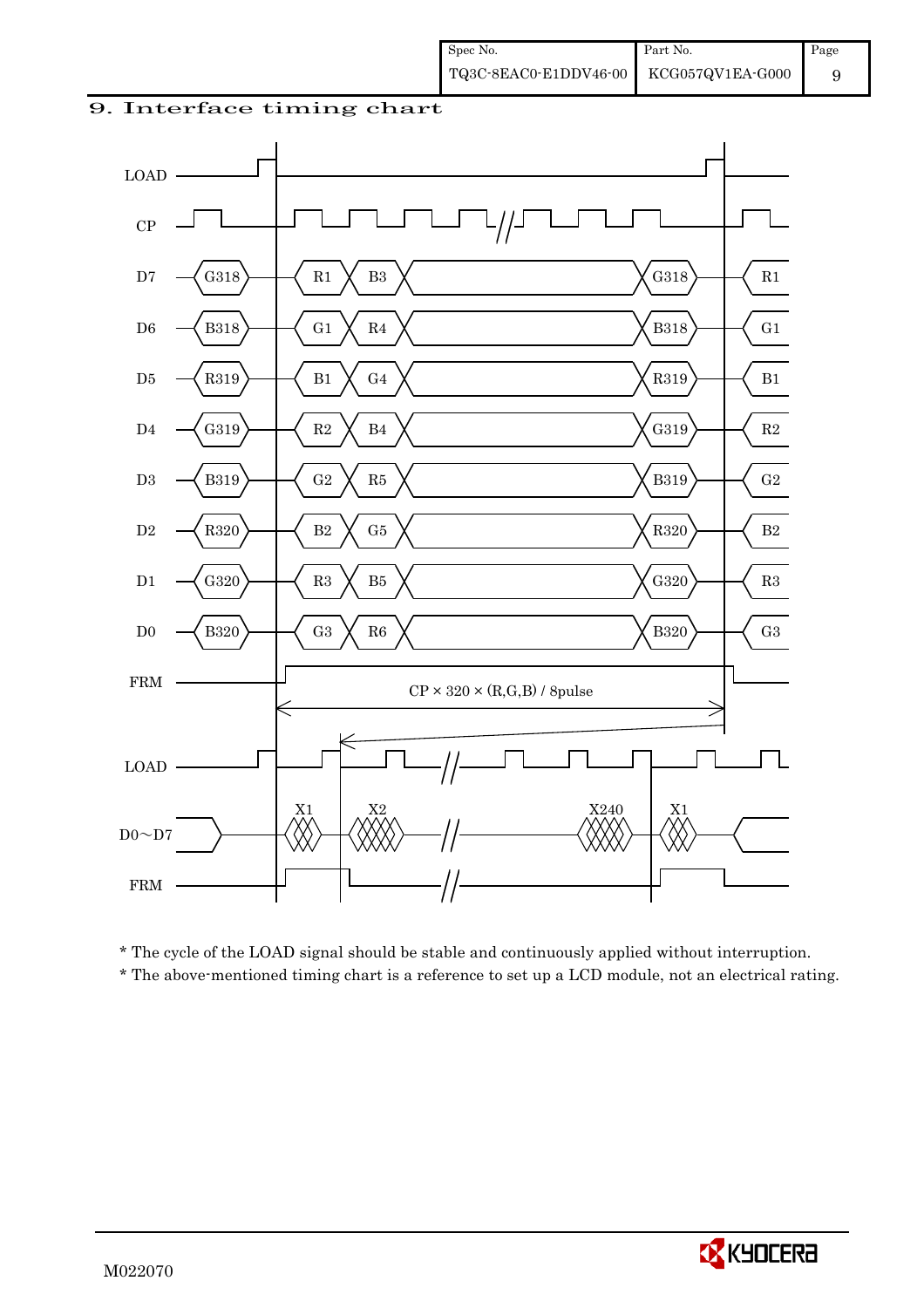



\* The cycle of the LOAD signal should be stable and continuously applied without interruption.

\* The above-mentioned timing chart is a reference to set up a LCD module, not an electrical rating.

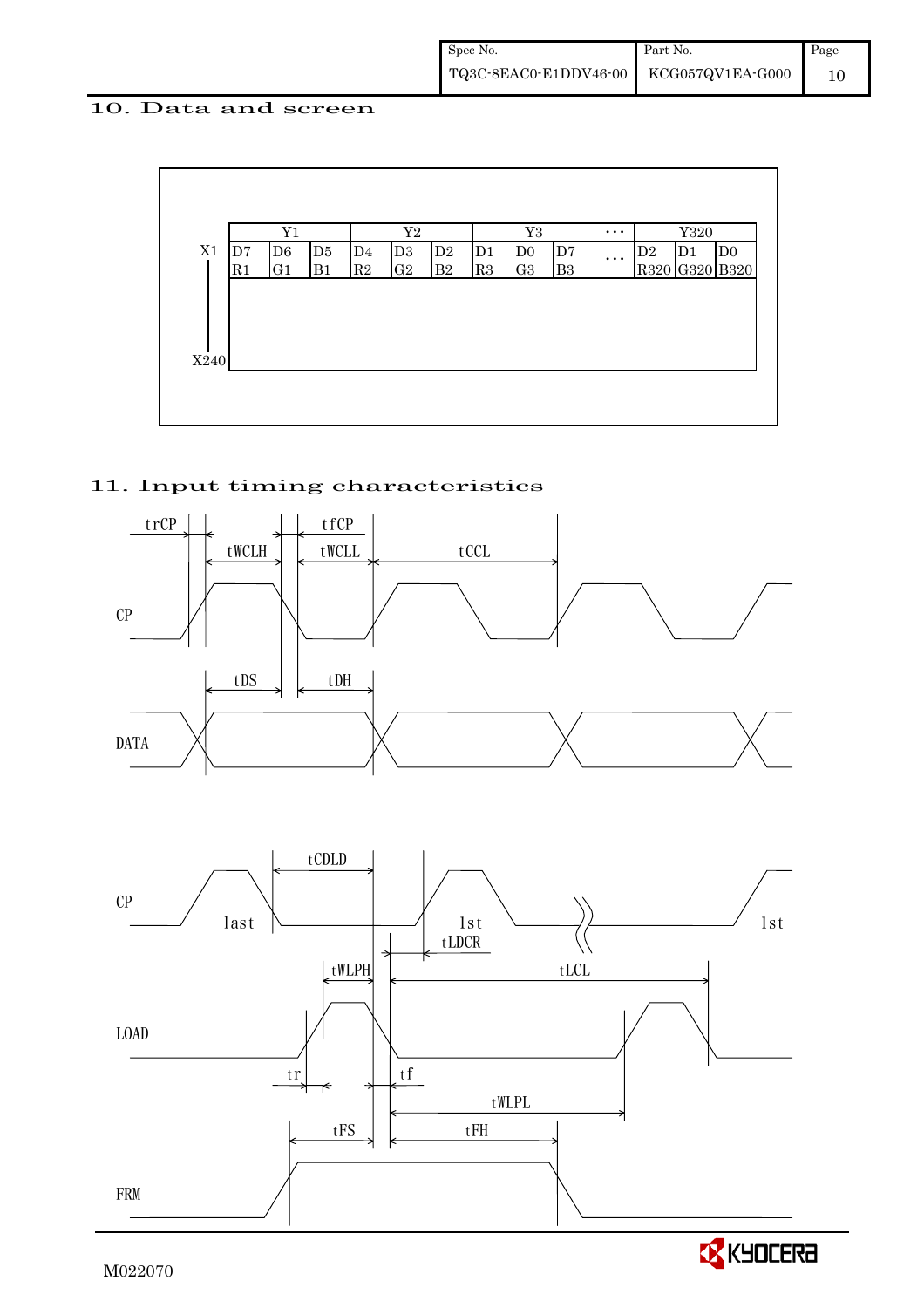## 10. Data and screen



## 11. Input timing characteristics



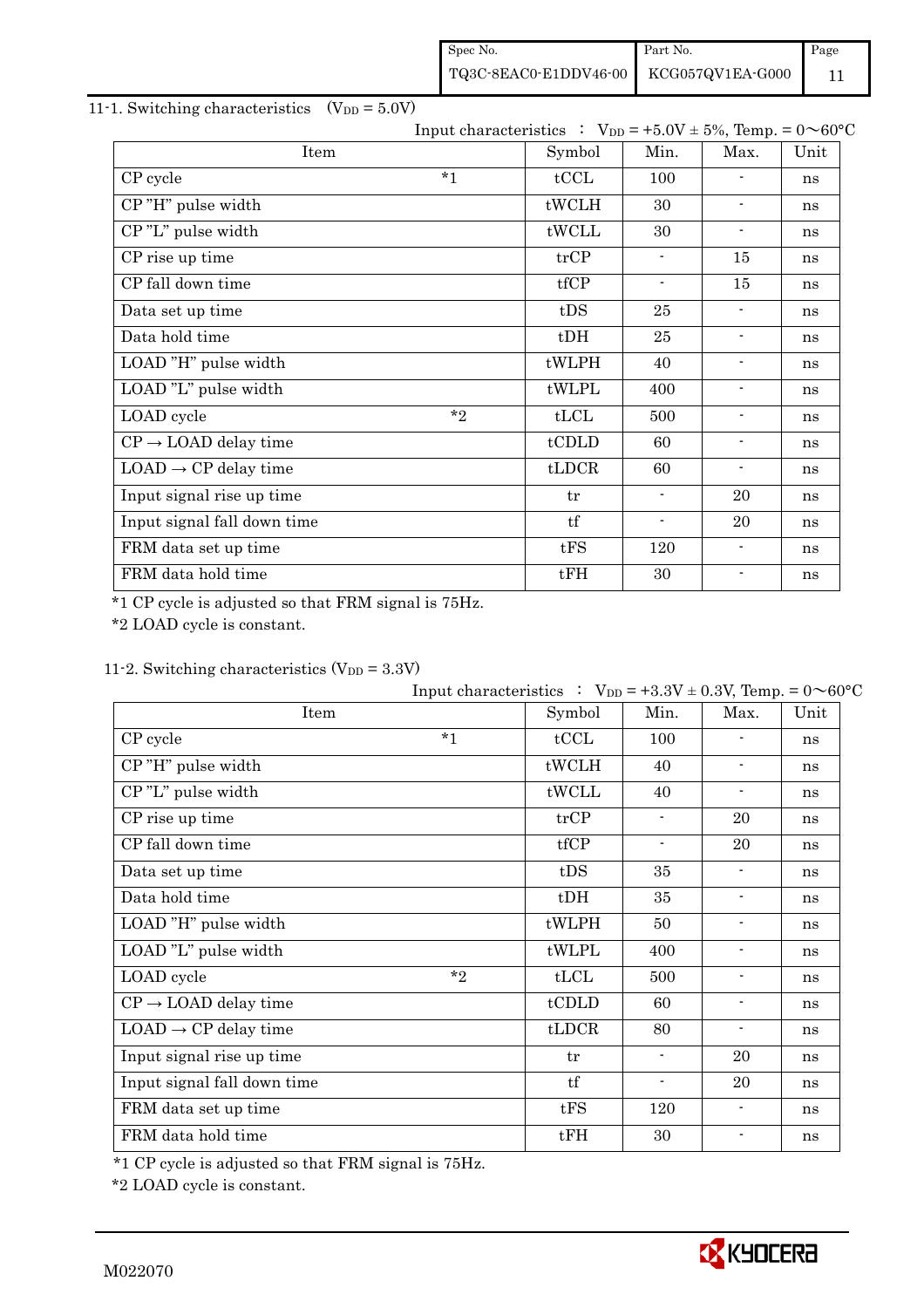| Spec No.                               | Part No. | Page |
|----------------------------------------|----------|------|
| TQ3C-8EAC0-E1DDV46-00 KCG057QV1EA-G000 |          |      |

## 11-1. Switching characteristics  $(V_{DD} = 5.0V)$

|                                  |         | Input characteristics : $V_{DD} = +5.0V \pm 5\%$ , Temp. = $0 \sim 60^{\circ}C$ |                          |                          |      |
|----------------------------------|---------|---------------------------------------------------------------------------------|--------------------------|--------------------------|------|
| Item                             |         | Symbol                                                                          | Min.                     | Max.                     | Unit |
| CP cycle                         | $*_{1}$ | tCCL                                                                            | 100                      |                          | ns   |
| CP"H" pulse width                |         | tWCLH                                                                           | 30                       |                          | ns   |
| CP"L" pulse width                |         | tWCLL                                                                           | 30                       | $\overline{\phantom{a}}$ | ns   |
| CP rise up time                  |         | trCP                                                                            | $\overline{\phantom{a}}$ | 15                       | ns   |
| CP fall down time                |         | tfCP                                                                            | $\overline{\phantom{a}}$ | 15                       | ns   |
| Data set up time                 |         | tDS                                                                             | 25                       | ٠                        | ns   |
| Data hold time                   |         | $t$ DH                                                                          | 25                       | $\overline{\phantom{a}}$ | ns   |
| LOAD "H" pulse width             |         | tWLPH                                                                           | 40                       |                          | ns   |
| LOAD "L" pulse width             |         | tWLPL                                                                           | 400                      | ۰                        | ns   |
| LOAD cycle                       | $*$ ?   | tLCL                                                                            | 500                      | $\blacksquare$           | ns   |
| $CP \rightarrow$ LOAD delay time |         | tCDLD                                                                           | 60                       | $\blacksquare$           | ns   |
| $LOAD \rightarrow CP$ delay time |         | tLDCR                                                                           | 60                       | ۰                        | ns   |
| Input signal rise up time        |         | tr                                                                              |                          | 20                       | ns   |
| Input signal fall down time      |         | tf                                                                              |                          | 20                       | ns   |
| FRM data set up time             |         | tFS                                                                             | 120                      | -                        | ns   |
| FRM data hold time               |         | tFH                                                                             | 30                       | $\overline{\phantom{0}}$ | ns   |

\*1 CP cycle is adjusted so that FRM signal is 75Hz.

\*2 LOAD cycle is constant.

## 11-2. Switching characteristics  $(V_{DD} = 3.3V)$

|                                  | Input characteristics : $V_{DD} = +3.3V \pm 0.3V$ , Temp. = $0 \sim 60^{\circ}C$ |        |                          |                          |      |
|----------------------------------|----------------------------------------------------------------------------------|--------|--------------------------|--------------------------|------|
| Item                             |                                                                                  | Symbol | Min.                     | Max.                     | Unit |
| CP cycle                         | $*1$                                                                             | tCCL   | 100                      |                          | ns   |
| CP"H" pulse width                |                                                                                  | tWCLH  | 40                       | $\blacksquare$           | ns   |
| CP"L" pulse width                |                                                                                  | tWCLL  | 40                       | $\blacksquare$           | ns   |
| CP rise up time                  |                                                                                  | trCP   | $\blacksquare$           | 20                       | ns   |
| CP fall down time                |                                                                                  | tfCP   | $\overline{\phantom{a}}$ | 20                       | ns   |
| Data set up time                 |                                                                                  | tDS    | 35                       | $\blacksquare$           | ns   |
| Data hold time                   |                                                                                  | $t$ DH | 35                       | $\blacksquare$           | ns   |
| LOAD "H" pulse width             |                                                                                  | tWLPH  | 50                       | $\overline{\phantom{a}}$ | ns   |
| LOAD "L" pulse width             |                                                                                  | tWLPL  | 400                      | $\blacksquare$           | ns   |
| LOAD cycle                       | $*_{2}$                                                                          | tLCL   | 500                      | $\overline{\phantom{a}}$ | ns   |
| $CP \rightarrow$ LOAD delay time |                                                                                  | tCDLD  | 60                       | $\blacksquare$           | ns   |
| $LOAD \rightarrow CP$ delay time |                                                                                  | tLDCR  | 80                       | $\blacksquare$           | ns   |
| Input signal rise up time        |                                                                                  | tr     | $\blacksquare$           | 20                       | ns   |
| Input signal fall down time      |                                                                                  | tf     | $\overline{\phantom{a}}$ | 20                       | ns   |
| FRM data set up time             |                                                                                  | tFS    | 120                      | $\blacksquare$           | ns   |
| FRM data hold time               |                                                                                  | tFH    | 30                       | $\overline{\phantom{a}}$ | ns   |

\*1 CP cycle is adjusted so that FRM signal is 75Hz.

\*2 LOAD cycle is constant.

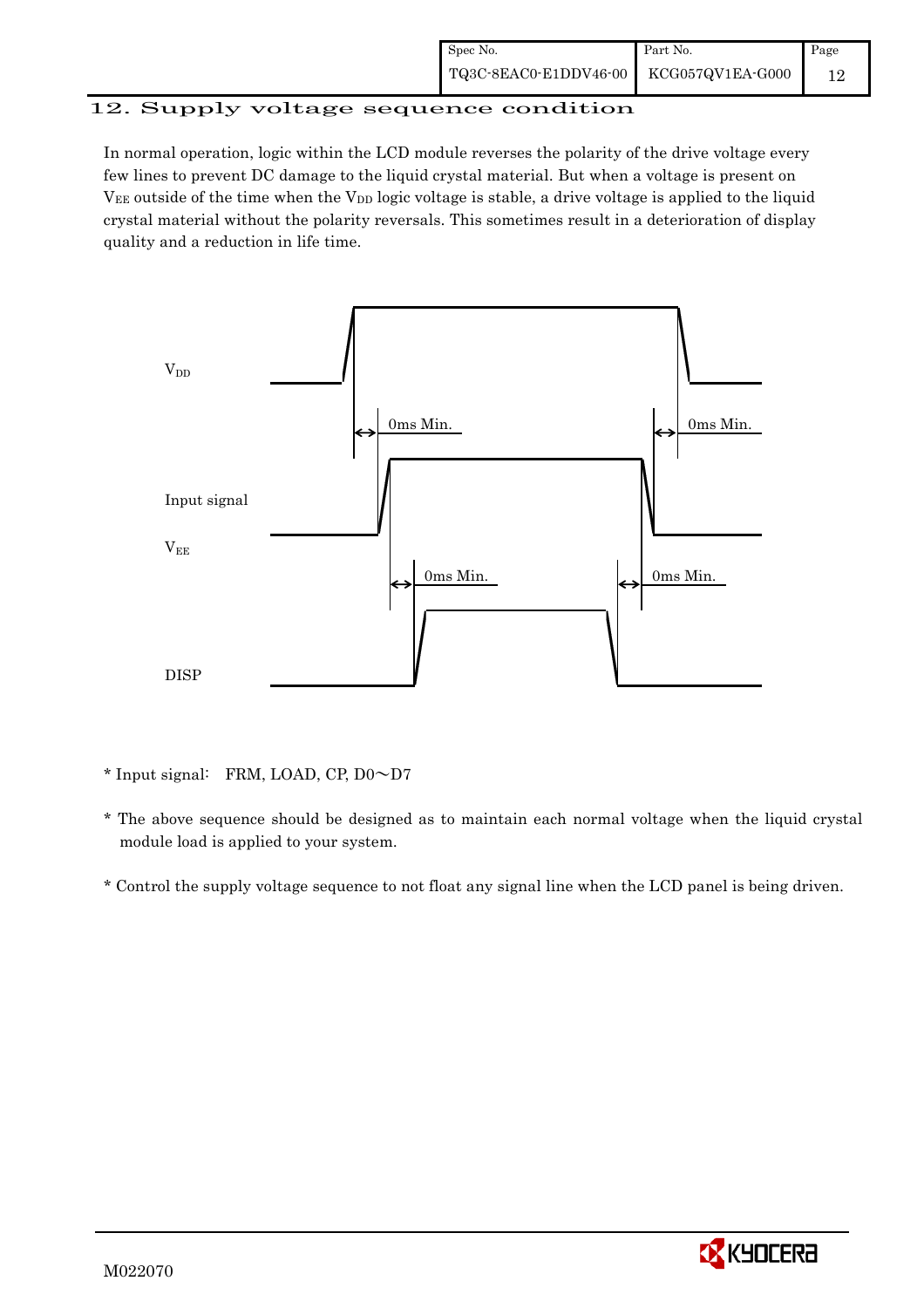| Spec No.                               | Part No. | Page |
|----------------------------------------|----------|------|
| TQ3C-8EAC0-E1DDV46-00 KCG057QV1EA-G000 |          |      |

# 12. Supply voltage sequence condition

In normal operation, logic within the LCD module reverses the polarity of the drive voltage every few lines to prevent DC damage to the liquid crystal material. But when a voltage is present on  $V_{EE}$  outside of the time when the  $V_{DD}$  logic voltage is stable, a drive voltage is applied to the liquid crystal material without the polarity reversals. This sometimes result in a deterioration of display quality and a reduction in life time.



\* Input signal: FRM, LOAD, CP, D0~D7

- \* The above sequence should be designed as to maintain each normal voltage when the liquid crystal module load is applied to your system.
- \* Control the supply voltage sequence to not float any signal line when the LCD panel is being driven.

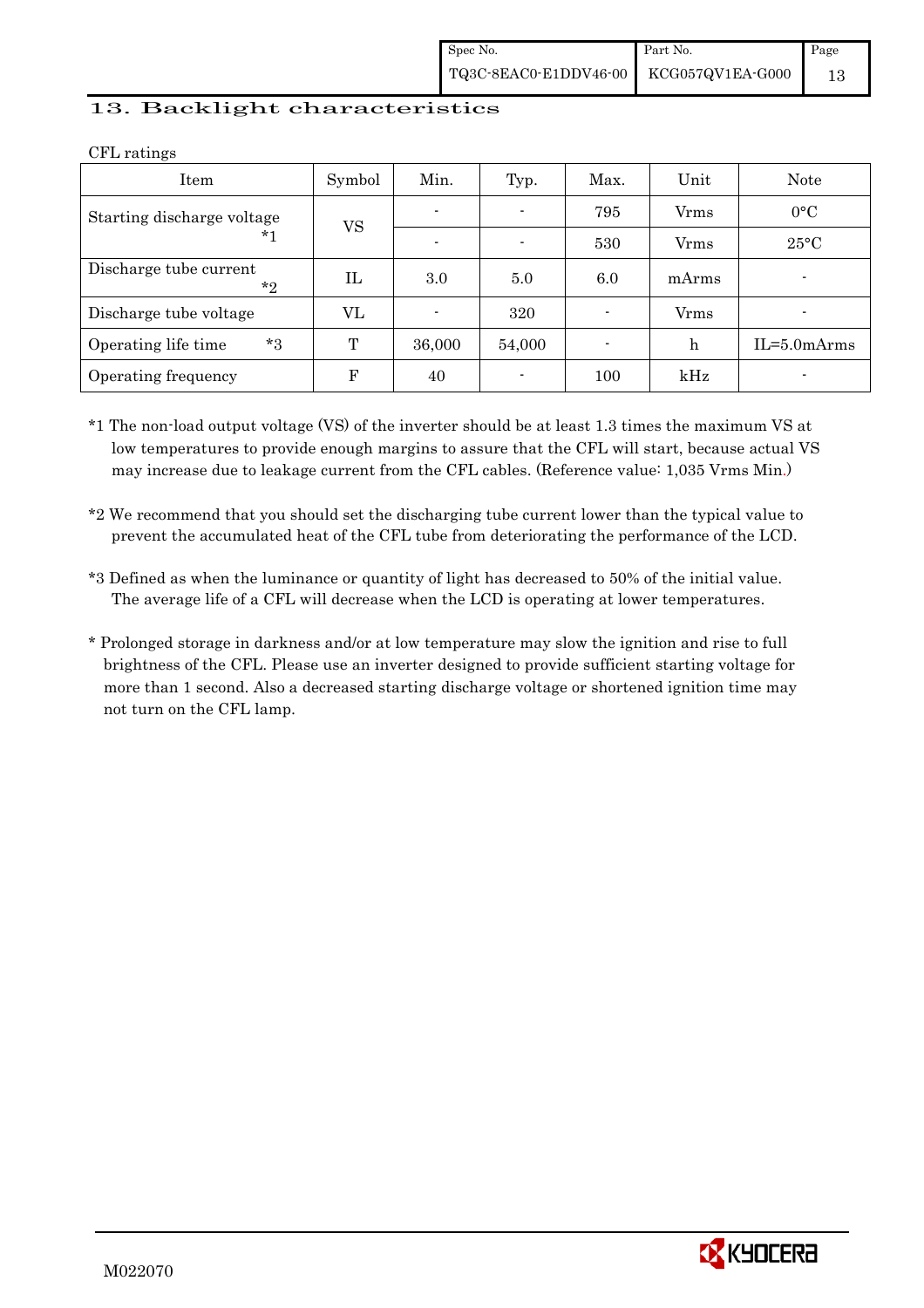## 13. Backlight characteristics

| Item                              | Symbol    | Min.                     | Typ.                     | Max.                     | Unit  | Note             |
|-----------------------------------|-----------|--------------------------|--------------------------|--------------------------|-------|------------------|
| Starting discharge voltage        | <b>VS</b> | $\blacksquare$           | $\overline{\phantom{0}}$ | 795                      | Vrms  | $0^{\circ}C$     |
| *1                                |           | $\overline{\phantom{0}}$ | $\blacksquare$           | 530                      | Vrms  | $25^{\circ}$ C   |
| Discharge tube current<br>$*_{2}$ | IL        | 3.0                      | 5.0                      | 6.0                      | mArms |                  |
| Discharge tube voltage            | VL        | $\blacksquare$           | 320                      | $\overline{\phantom{0}}$ | Vrms  |                  |
| $*3$<br>Operating life time       | T         | 36,000                   | 54,000                   | $\overline{\phantom{0}}$ | h     | $IL = 5.0 mArms$ |
| Operating frequency               | F         | 40                       | $\overline{\phantom{0}}$ | 100                      | kHz   |                  |

CFL ratings

\*1 The non-load output voltage (VS) of the inverter should be at least 1.3 times the maximum VS at low temperatures to provide enough margins to assure that the CFL will start, because actual VS may increase due to leakage current from the CFL cables. (Reference value: 1,035 Vrms Min.)

\*2 We recommend that you should set the discharging tube current lower than the typical value to prevent the accumulated heat of the CFL tube from deteriorating the performance of the LCD.

\*3 Defined as when the luminance or quantity of light has decreased to 50% of the initial value. The average life of a CFL will decrease when the LCD is operating at lower temperatures.

\* Prolonged storage in darkness and/or at low temperature may slow the ignition and rise to full brightness of the CFL. Please use an inverter designed to provide sufficient starting voltage for more than 1 second. Also a decreased starting discharge voltage or shortened ignition time may not turn on the CFL lamp.

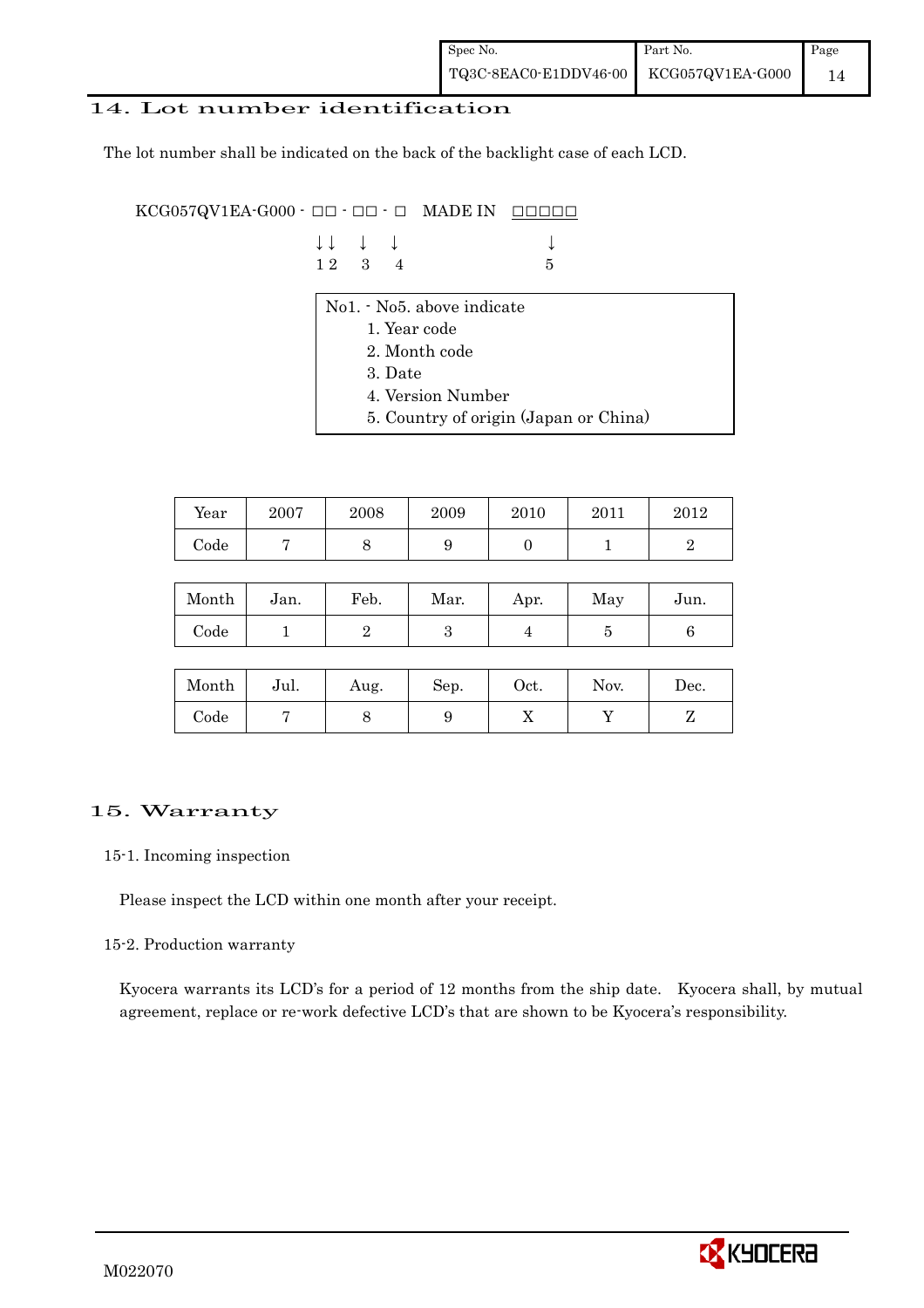## 14. Lot number identification

The lot number shall be indicated on the back of the backlight case of each LCD.

 $KCG057QV1EA-G000 -  $\Box\Box$  -  $\Box$  -  $\Box$  MADE IN  $\Box\Box\Box\Box\Box$$ 

| $\downarrow \downarrow$ $\downarrow$ $\downarrow$ |  |             |
|---------------------------------------------------|--|-------------|
| $12 \quad 3 \quad 4$                              |  | $5^{\circ}$ |

- No1. No5. above indicate
	- 1. Year code
	- 2. Month code
	- 3. Date
	- 4. Version Number
	- 5. Country of origin (Japan or China)

| Year | 2007 | 2008 | 2009 | 2010 | 2011 | $2012\,$ |
|------|------|------|------|------|------|----------|
| Code |      |      | ັ    |      |      |          |

| Month      | Jan. | Feb. | Mar. | Apr. | May | Jun. |
|------------|------|------|------|------|-----|------|
| $\rm Code$ |      |      |      |      |     |      |

| Month      | Jul. | Aug. | Sep. | Oct. | Nov. | Dec. |
|------------|------|------|------|------|------|------|
| $\rm Code$ |      |      |      | ∡⊾   |      |      |

## 15. Warranty

### 15-1. Incoming inspection

Please inspect the LCD within one month after your receipt.

### 15-2. Production warranty

 Kyocera warrants its LCD's for a period of 12 months from the ship date. Kyocera shall, by mutual agreement, replace or re-work defective LCD's that are shown to be Kyocera's responsibility.

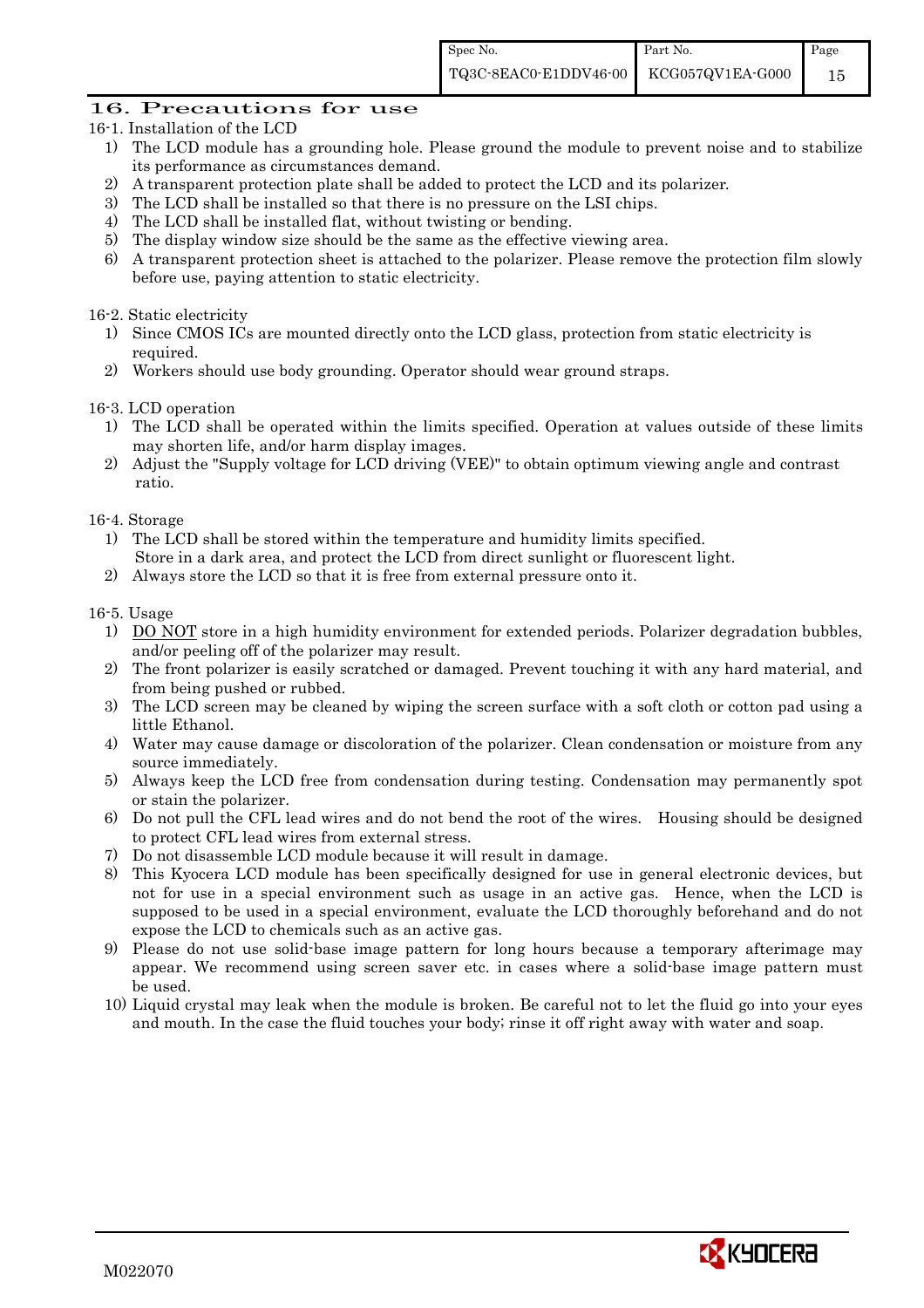## 16. Precautions for use

- 16-1. Installation of the LCD
	- 1) The LCD module has a grounding hole. Please ground the module to prevent noise and to stabilize its performance as circumstances demand.
	- 2) A transparent protection plate shall be added to protect the LCD and its polarizer.
	- 3) The LCD shall be installed so that there is no pressure on the LSI chips.
	- 4) The LCD shall be installed flat, without twisting or bending.
	- 5) The display window size should be the same as the effective viewing area.
	- 6) A transparent protection sheet is attached to the polarizer. Please remove the protection film slowly before use, paying attention to static electricity.

### 16-2. Static electricity

- 1) Since CMOS ICs are mounted directly onto the LCD glass, protection from static electricity is required.
- 2) Workers should use body grounding. Operator should wear ground straps.

### 16-3. LCD operation

- 1) The LCD shall be operated within the limits specified. Operation at values outside of these limits may shorten life, and/or harm display images.
- 2) Adjust the "Supply voltage for LCD driving (VEE)" to obtain optimum viewing angle and contrast ratio.

### 16-4. Storage

- 1) The LCD shall be stored within the temperature and humidity limits specified. Store in a dark area, and protect the LCD from direct sunlight or fluorescent light.
- 2) Always store the LCD so that it is free from external pressure onto it.

#### 16-5. Usage

- 1) DO NOT store in a high humidity environment for extended periods. Polarizer degradation bubbles, and/or peeling off of the polarizer may result.
- 2) The front polarizer is easily scratched or damaged. Prevent touching it with any hard material, and from being pushed or rubbed.
- 3) The LCD screen may be cleaned by wiping the screen surface with a soft cloth or cotton pad using a little Ethanol.
- 4) Water may cause damage or discoloration of the polarizer. Clean condensation or moisture from any source immediately.
- 5) Always keep the LCD free from condensation during testing. Condensation may permanently spot or stain the polarizer.
- 6) Do not pull the CFL lead wires and do not bend the root of the wires. Housing should be designed to protect CFL lead wires from external stress.
- 7) Do not disassemble LCD module because it will result in damage.
- 8) This Kyocera LCD module has been specifically designed for use in general electronic devices, but not for use in a special environment such as usage in an active gas. Hence, when the LCD is supposed to be used in a special environment, evaluate the LCD thoroughly beforehand and do not expose the LCD to chemicals such as an active gas.
- 9) Please do not use solid-base image pattern for long hours because a temporary afterimage may appear. We recommend using screen saver etc. in cases where a solid-base image pattern must be used.
- 10) Liquid crystal may leak when the module is broken. Be careful not to let the fluid go into your eyes and mouth. In the case the fluid touches your body; rinse it off right away with water and soap.

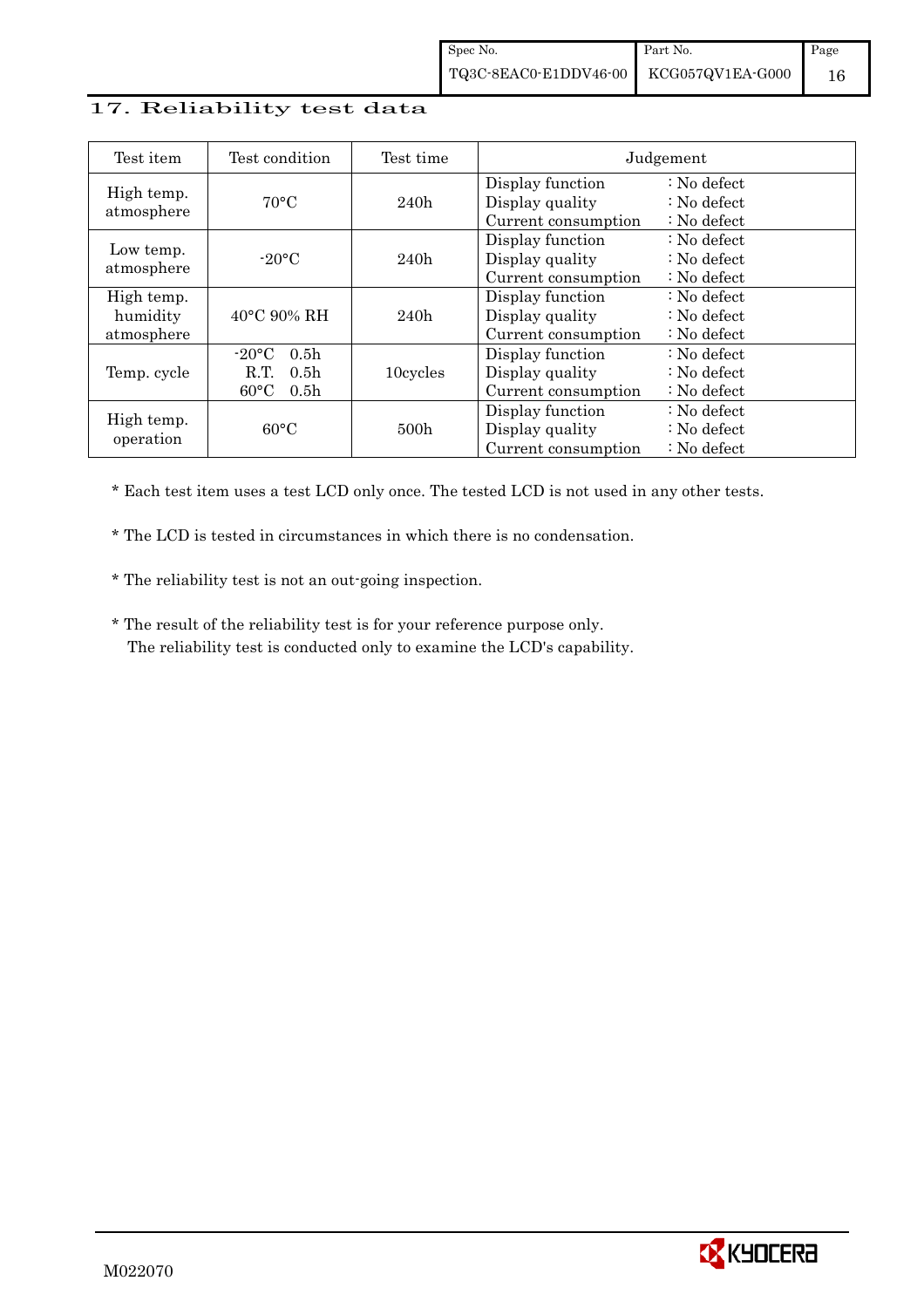## 17. Reliability test data

| Test item                            | Test condition                                                                                       | Test time        |                                                            | Judgement                                                                  |
|--------------------------------------|------------------------------------------------------------------------------------------------------|------------------|------------------------------------------------------------|----------------------------------------------------------------------------|
| High temp.<br>atmosphere             | $70^{\circ}$ C                                                                                       | 240h             | Display function<br>Display quality<br>Current consumption | : No defect<br>$\therefore$ No defect<br>$\therefore$ No defect            |
| Low temp.<br>atmosphere              | $-20$ °C                                                                                             | 240h             | Display function<br>Display quality<br>Current consumption | $\therefore$ No defect<br>$\therefore$ No defect<br>$\therefore$ No defect |
| High temp.<br>humidity<br>atmosphere | $40^{\circ}$ C 90% RH                                                                                | 240h             | Display function<br>Display quality<br>Current consumption | $\therefore$ No defect<br>$\therefore$ No defect<br>$\therefore$ No defect |
| Temp. cycle                          | $-20\degree C$<br>0.5 <sub>h</sub><br>0.5 <sub>h</sub><br>R.T.<br>$60^{\circ}$ C<br>0.5 <sub>h</sub> | 10cycles         | Display function<br>Display quality<br>Current consumption | $\therefore$ No defect<br>$\therefore$ No defect<br>: No defect            |
| High temp.<br>operation              | $60^{\circ}$ C                                                                                       | 500 <sub>h</sub> | Display function<br>Display quality<br>Current consumption | : No defect<br>$\therefore$ No defect<br>: No defect                       |

\* Each test item uses a test LCD only once. The tested LCD is not used in any other tests.

\* The LCD is tested in circumstances in which there is no condensation.

\* The reliability test is not an out-going inspection.

 \* The result of the reliability test is for your reference purpose only. The reliability test is conducted only to examine the LCD's capability.

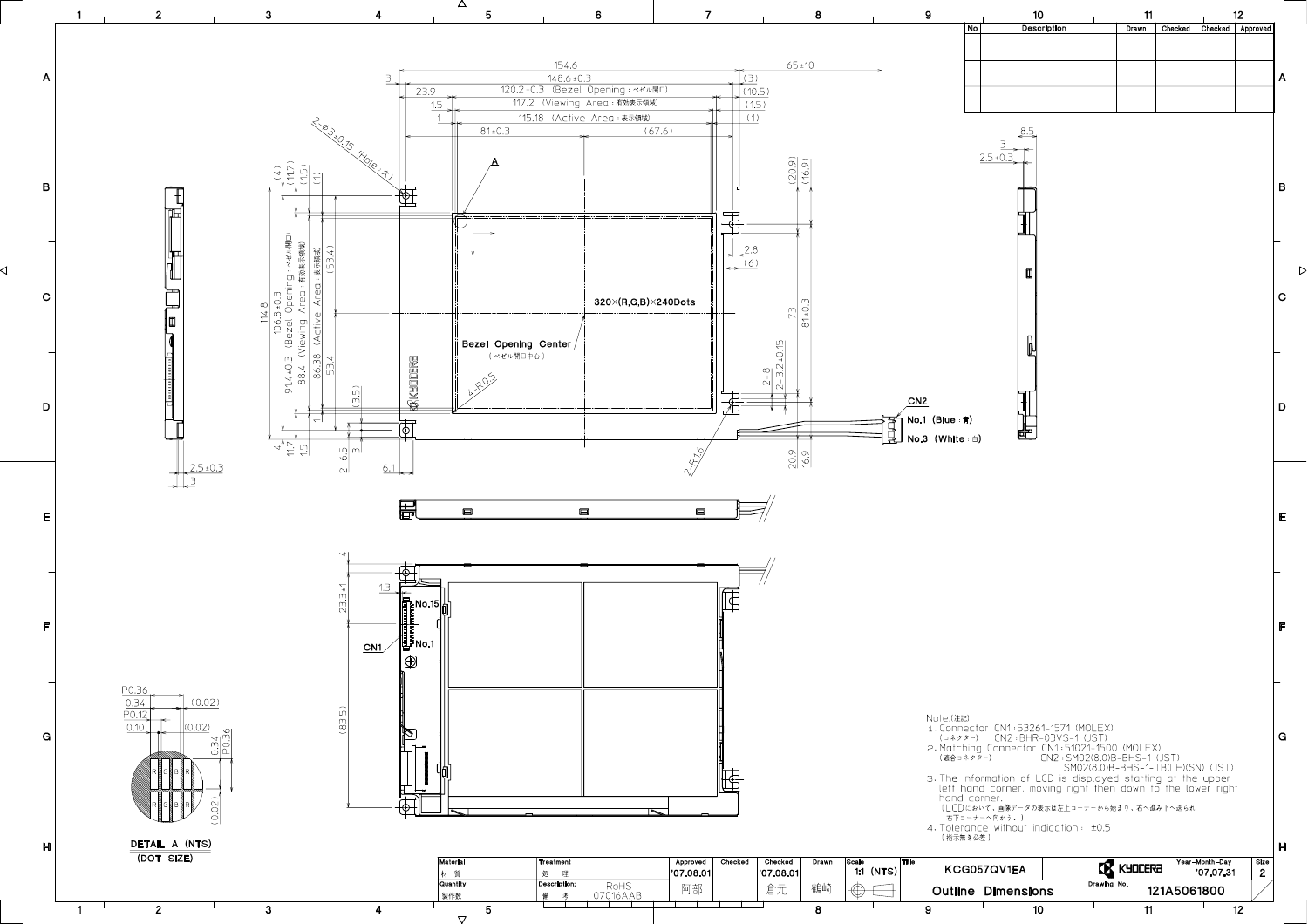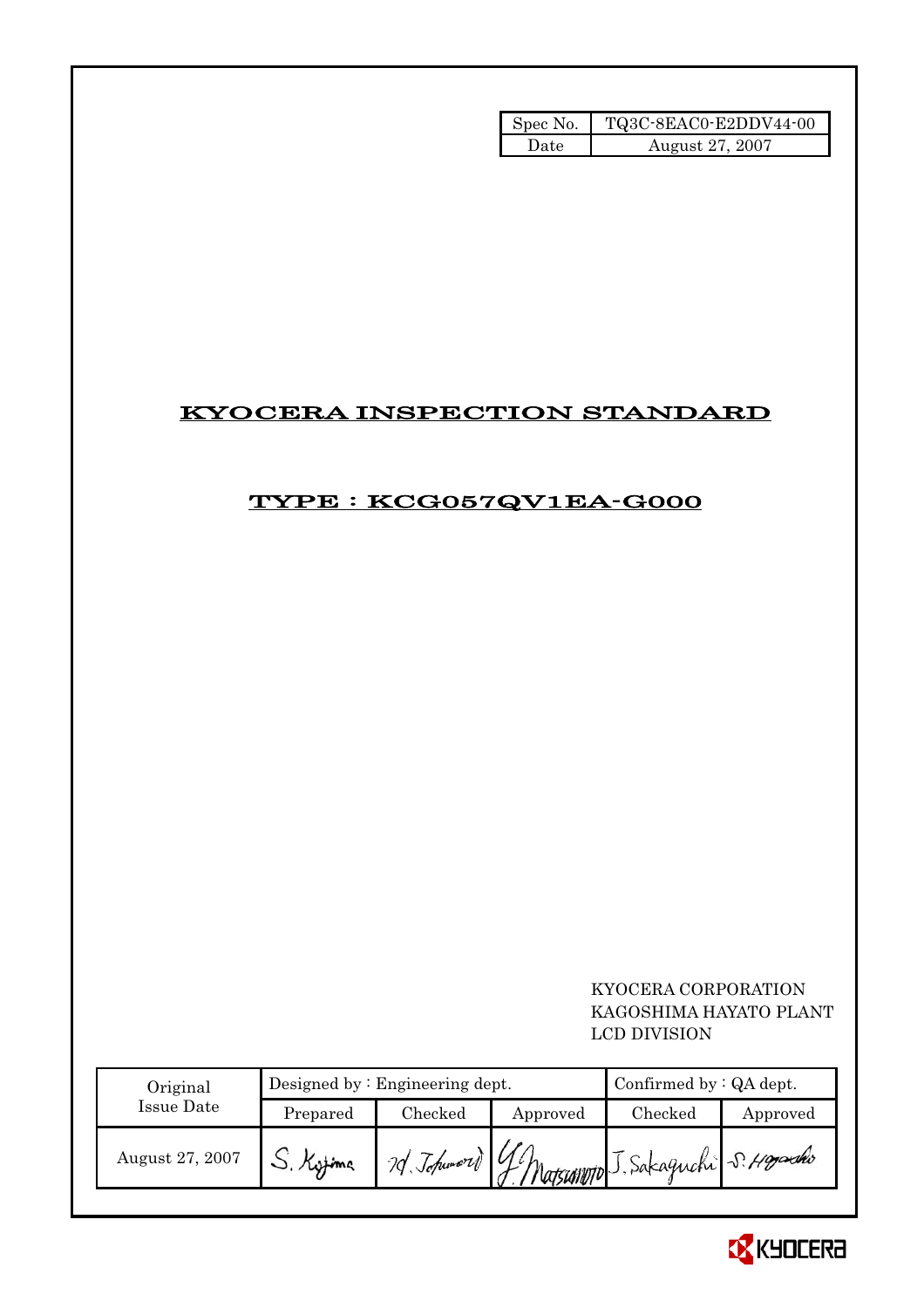| Spec No. | TQ3C-8EAC0-E2DDV44-00 |
|----------|-----------------------|
| l Jate   | August 27, 2007       |

# KYOCERA INSPECTION STANDARD

# TYPE : KCG057QV1EA-G000

## KYOCERA CORPORATION KAGOSHIMA HAYATO PLANT LCD DIVISION

| Original        |          | Designed by $:$ Engineering dept. |          |                                        | Confirmed by $:QA$ dept. |  |
|-----------------|----------|-----------------------------------|----------|----------------------------------------|--------------------------|--|
| Issue Date      | Prepared | $\rm Checked$                     | Approved | Checked                                | Approved                 |  |
| August 27, 2007 |          | $1$ of Johnword $14h$             |          | - L'Matsumoto J. Sakaguchi S. Hoysello |                          |  |

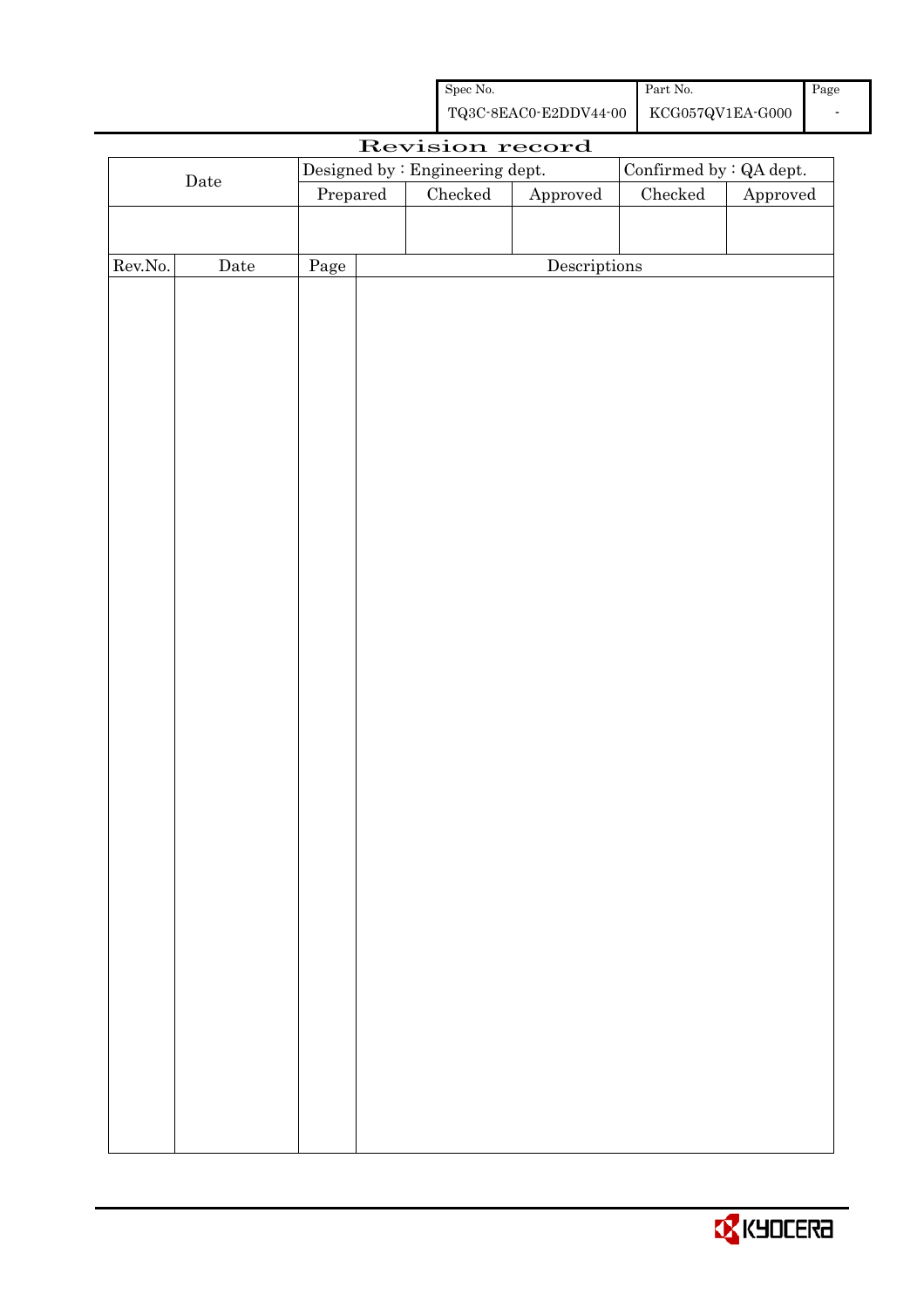| Spec No.              | Part No.         | Page |
|-----------------------|------------------|------|
| TQ3C-8EAC0-E2DDV44-00 | KCG057QV1EA-G000 |      |

| Revision record |             |          |  |                                 |                        |                         |          |
|-----------------|-------------|----------|--|---------------------------------|------------------------|-------------------------|----------|
|                 |             |          |  | Designed by : Engineering dept. |                        | Confirmed by : QA dept. |          |
| $\rm{Date}$     |             | Prepared |  | Checked                         | ${\Large\bf Approved}$ | $\rm Checked$           | Approved |
|                 |             |          |  |                                 |                        |                         |          |
|                 |             |          |  |                                 |                        |                         |          |
| Rev.No.         | $\rm{Date}$ | Page     |  |                                 | Descriptions           |                         |          |
|                 |             |          |  |                                 |                        |                         |          |
|                 |             |          |  |                                 |                        |                         |          |
|                 |             |          |  |                                 |                        |                         |          |
|                 |             |          |  |                                 |                        |                         |          |
|                 |             |          |  |                                 |                        |                         |          |
|                 |             |          |  |                                 |                        |                         |          |
|                 |             |          |  |                                 |                        |                         |          |
|                 |             |          |  |                                 |                        |                         |          |
|                 |             |          |  |                                 |                        |                         |          |
|                 |             |          |  |                                 |                        |                         |          |
|                 |             |          |  |                                 |                        |                         |          |
|                 |             |          |  |                                 |                        |                         |          |
|                 |             |          |  |                                 |                        |                         |          |
|                 |             |          |  |                                 |                        |                         |          |
|                 |             |          |  |                                 |                        |                         |          |
|                 |             |          |  |                                 |                        |                         |          |
|                 |             |          |  |                                 |                        |                         |          |
|                 |             |          |  |                                 |                        |                         |          |
|                 |             |          |  |                                 |                        |                         |          |
|                 |             |          |  |                                 |                        |                         |          |
|                 |             |          |  |                                 |                        |                         |          |
|                 |             |          |  |                                 |                        |                         |          |
|                 |             |          |  |                                 |                        |                         |          |
|                 |             |          |  |                                 |                        |                         |          |
|                 |             |          |  |                                 |                        |                         |          |
|                 |             |          |  |                                 |                        |                         |          |
|                 |             |          |  |                                 |                        |                         |          |
|                 |             |          |  |                                 |                        |                         |          |
|                 |             |          |  |                                 |                        |                         |          |
|                 |             |          |  |                                 |                        |                         |          |
|                 |             |          |  |                                 |                        |                         |          |
|                 |             |          |  |                                 |                        |                         |          |
|                 |             |          |  |                                 |                        |                         |          |
|                 |             |          |  |                                 |                        |                         |          |
|                 |             |          |  |                                 |                        |                         |          |

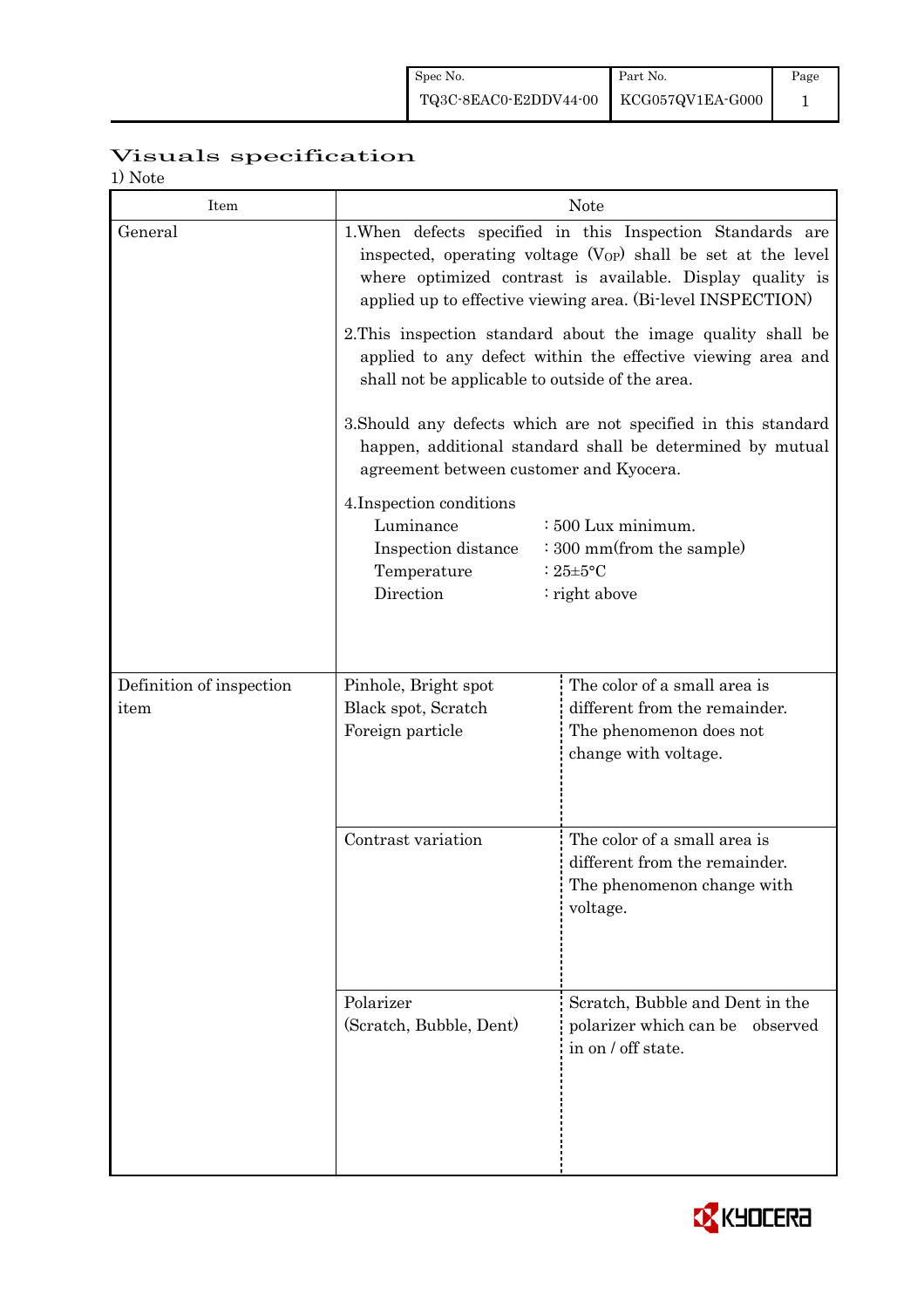# Visuals specification

1) Note

| Item                             | <b>Note</b>                                                                                                                                                                                                                                                                                                                                                       |                                                                                                                  |  |  |  |
|----------------------------------|-------------------------------------------------------------------------------------------------------------------------------------------------------------------------------------------------------------------------------------------------------------------------------------------------------------------------------------------------------------------|------------------------------------------------------------------------------------------------------------------|--|--|--|
| General                          | 1. When defects specified in this Inspection Standards are<br>inspected, operating voltage $(V_{OP})$ shall be set at the level<br>where optimized contrast is available. Display quality is<br>applied up to effective viewing area. (Bi-level INSPECTION)                                                                                                       |                                                                                                                  |  |  |  |
|                                  | 2. This inspection standard about the image quality shall be<br>applied to any defect within the effective viewing area and<br>shall not be applicable to outside of the area.                                                                                                                                                                                    |                                                                                                                  |  |  |  |
|                                  | 3. Should any defects which are not specified in this standard<br>happen, additional standard shall be determined by mutual<br>agreement between customer and Kyocera.<br>4. Inspection conditions<br>Luminance<br>: 500 Lux minimum.<br>Inspection distance<br>$\cdot$ 300 mm(from the sample)<br>Temperature<br>: $25 \pm 5$ °C<br>Direction<br>$:$ right above |                                                                                                                  |  |  |  |
|                                  |                                                                                                                                                                                                                                                                                                                                                                   |                                                                                                                  |  |  |  |
| Definition of inspection<br>item | Pinhole, Bright spot<br>Black spot, Scratch<br>Foreign particle                                                                                                                                                                                                                                                                                                   | The color of a small area is<br>different from the remainder.<br>The phenomenon does not<br>change with voltage. |  |  |  |
|                                  | Contrast variation                                                                                                                                                                                                                                                                                                                                                | The color of a small area is                                                                                     |  |  |  |
|                                  |                                                                                                                                                                                                                                                                                                                                                                   | different from the remainder.<br>The phenomenon change with<br>voltage.                                          |  |  |  |
|                                  | Polarizer<br>(Scratch, Bubble, Dent)                                                                                                                                                                                                                                                                                                                              | Scratch, Bubble and Dent in the<br>polarizer which can be<br>observed<br>in on / off state.                      |  |  |  |
|                                  |                                                                                                                                                                                                                                                                                                                                                                   |                                                                                                                  |  |  |  |

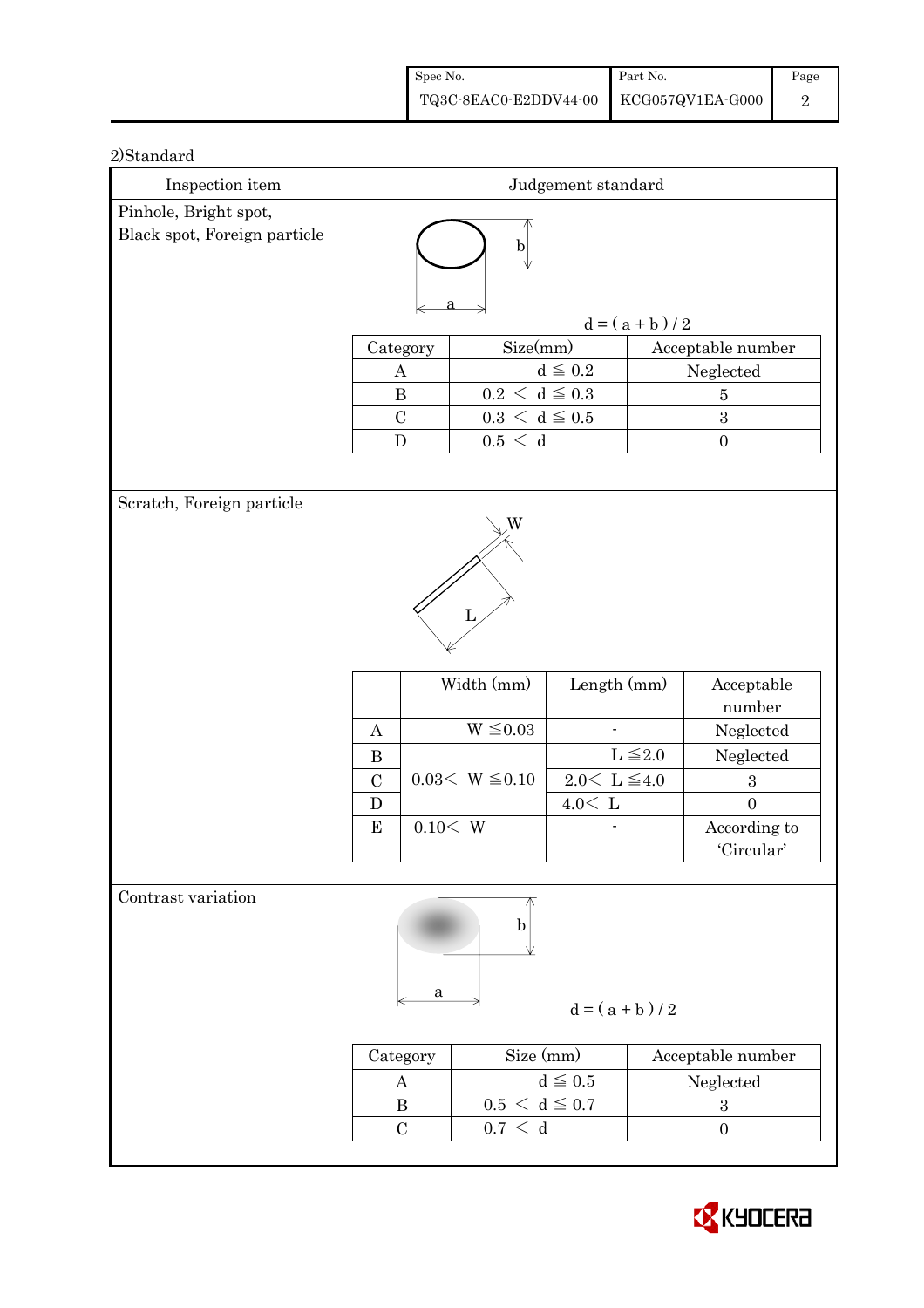| Spec No.                               | Part No. | Page |
|----------------------------------------|----------|------|
| TQ3C-8EAC0-E2DDV44-00 KCG057QV1EA-G000 |          |      |

| Inspection item                                       | Judgement standard                           |                                                                                |                     |                   |                                |
|-------------------------------------------------------|----------------------------------------------|--------------------------------------------------------------------------------|---------------------|-------------------|--------------------------------|
| Pinhole, Bright spot,<br>Black spot, Foreign particle |                                              |                                                                                |                     |                   |                                |
|                                                       |                                              | $\mathbf b$                                                                    |                     |                   |                                |
|                                                       |                                              |                                                                                |                     |                   |                                |
|                                                       |                                              |                                                                                |                     | $d = (a + b) / 2$ |                                |
|                                                       | Category                                     | Size(mm)                                                                       |                     |                   | Acceptable number              |
|                                                       | A<br>$\bf{B}$                                |                                                                                | $d\leqq0.2$         |                   | Neglected                      |
|                                                       | $\mathcal{C}$                                | $0.2\,<\,\mathrm{d}\leq0.3$<br>$\bf 5$<br>$0.3 \, \leq \, d \leq 0.5$<br>$\,3$ |                     |                   |                                |
|                                                       | ${\bf D}$                                    | 0.5 < d                                                                        |                     |                   | $\boldsymbol{0}$               |
|                                                       |                                              |                                                                                |                     |                   |                                |
| Scratch, Foreign particle                             |                                              |                                                                                |                     |                   |                                |
|                                                       |                                              | W                                                                              |                     |                   |                                |
|                                                       |                                              |                                                                                |                     |                   |                                |
|                                                       |                                              |                                                                                |                     |                   |                                |
|                                                       |                                              | L                                                                              |                     |                   |                                |
|                                                       |                                              |                                                                                |                     |                   |                                |
|                                                       | Width (mm)<br>Length (mm)<br>Acceptable      |                                                                                |                     |                   |                                |
|                                                       |                                              |                                                                                |                     |                   | number                         |
|                                                       | $\boldsymbol{A}$                             | $W \leq 0.03$                                                                  |                     |                   | Neglected                      |
|                                                       | $\bf{B}$                                     |                                                                                |                     | $L \leq 2.0$      | Neglected                      |
|                                                       | $\mathcal{C}$                                | $0.03 < W \leq 0.10$                                                           | $2.0 \le L \le 4.0$ |                   | $\,3$                          |
|                                                       | D<br>${\bf E}$                               | 0.10 < W                                                                       | $4.0\rm <\ L$       |                   | $\overline{0}$<br>According to |
|                                                       |                                              |                                                                                |                     |                   | 'Circular'                     |
|                                                       |                                              |                                                                                |                     |                   |                                |
| Contrast variation                                    |                                              |                                                                                |                     |                   |                                |
|                                                       |                                              | b                                                                              |                     |                   |                                |
|                                                       |                                              |                                                                                |                     |                   |                                |
|                                                       | a                                            |                                                                                |                     |                   |                                |
|                                                       | $d = (a + b)/2$                              |                                                                                |                     |                   |                                |
|                                                       | Size (mm)<br>Acceptable number<br>Category   |                                                                                |                     |                   |                                |
|                                                       | $d \leqq 0.5$<br>Neglected<br>A              |                                                                                |                     |                   |                                |
|                                                       | $0.5 < d \leq 0.7$<br>$\bf{B}$<br>$\sqrt{3}$ |                                                                                |                     |                   |                                |
|                                                       | $\mathbf C$                                  | 0.7 < d                                                                        |                     |                   | $\boldsymbol{0}$               |